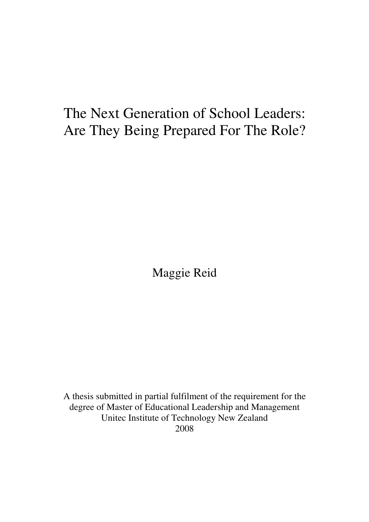# The Next Generation of School Leaders: Are They Being Prepared For The Role?

Maggie Reid

A thesis submitted in partial fulfilment of the requirement for the degree of Master of Educational Leadership and Management Unitec Institute of Technology New Zealand 2008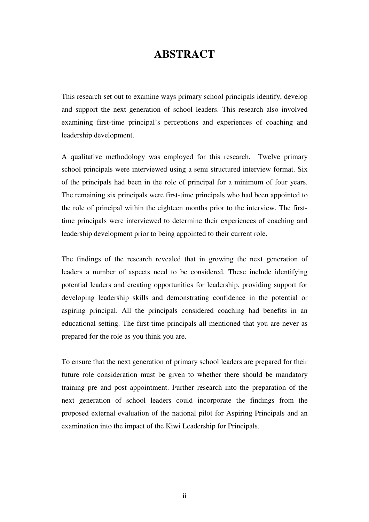## **ABSTRACT**

This research set out to examine ways primary school principals identify, develop and support the next generation of school leaders. This research also involved examining first-time principal's perceptions and experiences of coaching and leadership development.

A qualitative methodology was employed for this research. Twelve primary school principals were interviewed using a semi structured interview format. Six of the principals had been in the role of principal for a minimum of four years. The remaining six principals were first-time principals who had been appointed to the role of principal within the eighteen months prior to the interview. The firsttime principals were interviewed to determine their experiences of coaching and leadership development prior to being appointed to their current role.

The findings of the research revealed that in growing the next generation of leaders a number of aspects need to be considered. These include identifying potential leaders and creating opportunities for leadership, providing support for developing leadership skills and demonstrating confidence in the potential or aspiring principal. All the principals considered coaching had benefits in an educational setting. The first-time principals all mentioned that you are never as prepared for the role as you think you are.

To ensure that the next generation of primary school leaders are prepared for their future role consideration must be given to whether there should be mandatory training pre and post appointment. Further research into the preparation of the next generation of school leaders could incorporate the findings from the proposed external evaluation of the national pilot for Aspiring Principals and an examination into the impact of the Kiwi Leadership for Principals.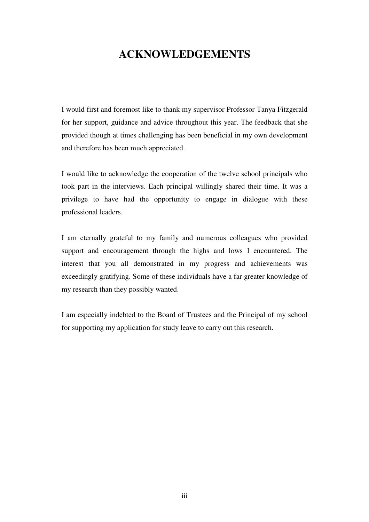## **ACKNOWLEDGEMENTS**

I would first and foremost like to thank my supervisor Professor Tanya Fitzgerald for her support, guidance and advice throughout this year. The feedback that she provided though at times challenging has been beneficial in my own development and therefore has been much appreciated.

I would like to acknowledge the cooperation of the twelve school principals who took part in the interviews. Each principal willingly shared their time. It was a privilege to have had the opportunity to engage in dialogue with these professional leaders.

I am eternally grateful to my family and numerous colleagues who provided support and encouragement through the highs and lows I encountered. The interest that you all demonstrated in my progress and achievements was exceedingly gratifying. Some of these individuals have a far greater knowledge of my research than they possibly wanted.

I am especially indebted to the Board of Trustees and the Principal of my school for supporting my application for study leave to carry out this research.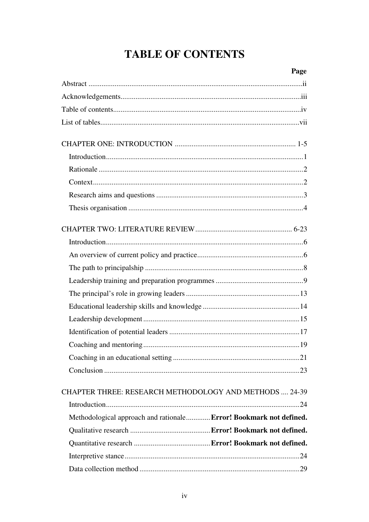# **TABLE OF CONTENTS**

|                                                                    | Page |
|--------------------------------------------------------------------|------|
|                                                                    |      |
|                                                                    |      |
|                                                                    |      |
|                                                                    |      |
|                                                                    |      |
|                                                                    |      |
|                                                                    |      |
|                                                                    |      |
|                                                                    |      |
|                                                                    |      |
|                                                                    |      |
|                                                                    |      |
|                                                                    |      |
|                                                                    |      |
|                                                                    |      |
|                                                                    |      |
|                                                                    |      |
|                                                                    |      |
|                                                                    |      |
|                                                                    |      |
|                                                                    |      |
|                                                                    |      |
| CHAPTER THREE: RESEARCH METHODOLOGY AND METHODS  24-39             |      |
|                                                                    |      |
| Methodological approach and rationale Error! Bookmark not defined. |      |
|                                                                    |      |
|                                                                    |      |
|                                                                    |      |
|                                                                    |      |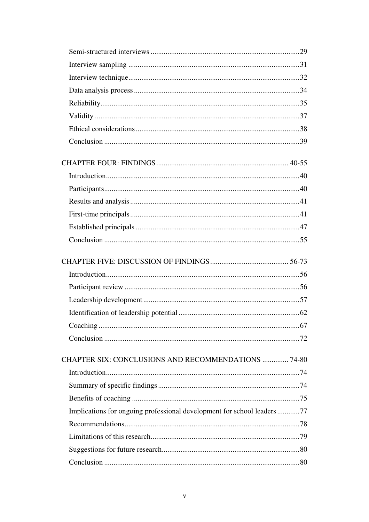| <b>CHAPTER SIX: CONCLUSIONS AND RECOMMENDATIONS  74-80</b>             |  |
|------------------------------------------------------------------------|--|
|                                                                        |  |
|                                                                        |  |
|                                                                        |  |
| Implications for ongoing professional development for school leaders77 |  |
|                                                                        |  |
|                                                                        |  |
|                                                                        |  |
|                                                                        |  |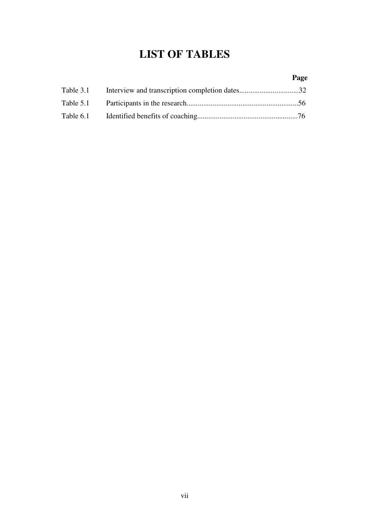## **LIST OF TABLES**

|  | Page |
|--|------|
|  |      |
|  |      |
|  |      |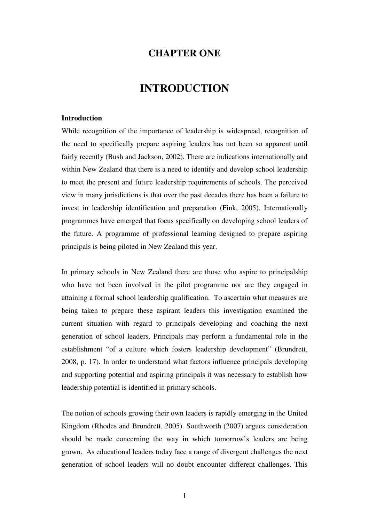### **CHAPTER ONE**

### **INTRODUCTION**

#### **Introduction**

While recognition of the importance of leadership is widespread, recognition of the need to specifically prepare aspiring leaders has not been so apparent until fairly recently (Bush and Jackson, 2002). There are indications internationally and within New Zealand that there is a need to identify and develop school leadership to meet the present and future leadership requirements of schools. The perceived view in many jurisdictions is that over the past decades there has been a failure to invest in leadership identification and preparation (Fink, 2005). Internationally programmes have emerged that focus specifically on developing school leaders of the future. A programme of professional learning designed to prepare aspiring principals is being piloted in New Zealand this year.

In primary schools in New Zealand there are those who aspire to principalship who have not been involved in the pilot programme nor are they engaged in attaining a formal school leadership qualification. To ascertain what measures are being taken to prepare these aspirant leaders this investigation examined the current situation with regard to principals developing and coaching the next generation of school leaders. Principals may perform a fundamental role in the establishment "of a culture which fosters leadership development" (Brundrett, 2008, p. 17). In order to understand what factors influence principals developing and supporting potential and aspiring principals it was necessary to establish how leadership potential is identified in primary schools.

The notion of schools growing their own leaders is rapidly emerging in the United Kingdom (Rhodes and Brundrett, 2005). Southworth (2007) argues consideration should be made concerning the way in which tomorrow's leaders are being grown. As educational leaders today face a range of divergent challenges the next generation of school leaders will no doubt encounter different challenges. This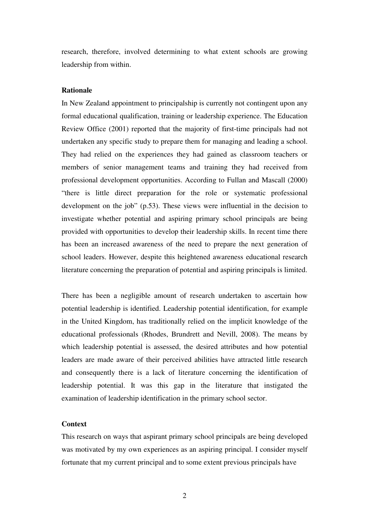research, therefore, involved determining to what extent schools are growing leadership from within.

#### **Rationale**

In New Zealand appointment to principalship is currently not contingent upon any formal educational qualification, training or leadership experience. The Education Review Office (2001) reported that the majority of first-time principals had not undertaken any specific study to prepare them for managing and leading a school. They had relied on the experiences they had gained as classroom teachers or members of senior management teams and training they had received from professional development opportunities. According to Fullan and Mascall (2000) "there is little direct preparation for the role or systematic professional development on the job" (p.53). These views were influential in the decision to investigate whether potential and aspiring primary school principals are being provided with opportunities to develop their leadership skills. In recent time there has been an increased awareness of the need to prepare the next generation of school leaders. However, despite this heightened awareness educational research literature concerning the preparation of potential and aspiring principals is limited.

There has been a negligible amount of research undertaken to ascertain how potential leadership is identified. Leadership potential identification, for example in the United Kingdom, has traditionally relied on the implicit knowledge of the educational professionals (Rhodes, Brundrett and Nevill, 2008). The means by which leadership potential is assessed, the desired attributes and how potential leaders are made aware of their perceived abilities have attracted little research and consequently there is a lack of literature concerning the identification of leadership potential. It was this gap in the literature that instigated the examination of leadership identification in the primary school sector.

#### **Context**

This research on ways that aspirant primary school principals are being developed was motivated by my own experiences as an aspiring principal. I consider myself fortunate that my current principal and to some extent previous principals have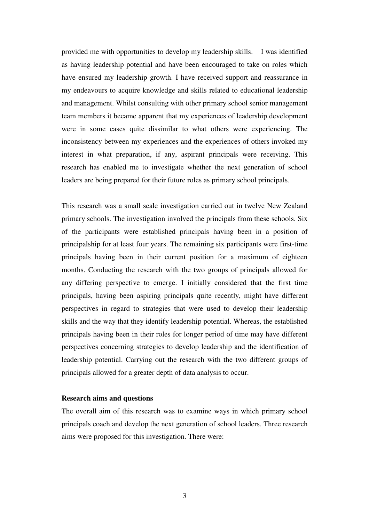provided me with opportunities to develop my leadership skills. I was identified as having leadership potential and have been encouraged to take on roles which have ensured my leadership growth. I have received support and reassurance in my endeavours to acquire knowledge and skills related to educational leadership and management. Whilst consulting with other primary school senior management team members it became apparent that my experiences of leadership development were in some cases quite dissimilar to what others were experiencing. The inconsistency between my experiences and the experiences of others invoked my interest in what preparation, if any, aspirant principals were receiving. This research has enabled me to investigate whether the next generation of school leaders are being prepared for their future roles as primary school principals.

This research was a small scale investigation carried out in twelve New Zealand primary schools. The investigation involved the principals from these schools. Six of the participants were established principals having been in a position of principalship for at least four years. The remaining six participants were first-time principals having been in their current position for a maximum of eighteen months. Conducting the research with the two groups of principals allowed for any differing perspective to emerge. I initially considered that the first time principals, having been aspiring principals quite recently, might have different perspectives in regard to strategies that were used to develop their leadership skills and the way that they identify leadership potential. Whereas, the established principals having been in their roles for longer period of time may have different perspectives concerning strategies to develop leadership and the identification of leadership potential. Carrying out the research with the two different groups of principals allowed for a greater depth of data analysis to occur.

#### **Research aims and questions**

The overall aim of this research was to examine ways in which primary school principals coach and develop the next generation of school leaders. Three research aims were proposed for this investigation. There were: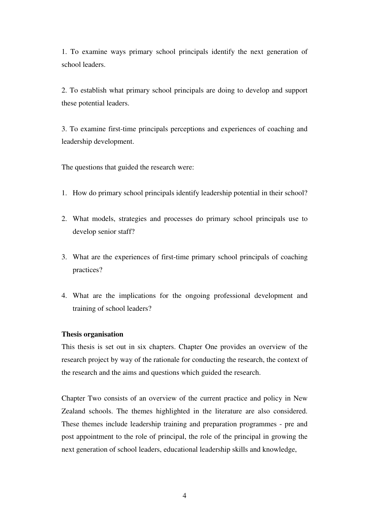1. To examine ways primary school principals identify the next generation of school leaders.

2. To establish what primary school principals are doing to develop and support these potential leaders.

3. To examine first-time principals perceptions and experiences of coaching and leadership development.

The questions that guided the research were:

- 1. How do primary school principals identify leadership potential in their school?
- 2. What models, strategies and processes do primary school principals use to develop senior staff?
- 3. What are the experiences of first-time primary school principals of coaching practices?
- 4. What are the implications for the ongoing professional development and training of school leaders?

#### **Thesis organisation**

This thesis is set out in six chapters. Chapter One provides an overview of the research project by way of the rationale for conducting the research, the context of the research and the aims and questions which guided the research.

Chapter Two consists of an overview of the current practice and policy in New Zealand schools. The themes highlighted in the literature are also considered. These themes include leadership training and preparation programmes - pre and post appointment to the role of principal, the role of the principal in growing the next generation of school leaders, educational leadership skills and knowledge,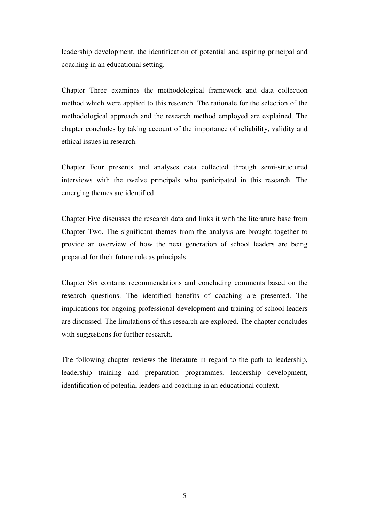leadership development, the identification of potential and aspiring principal and coaching in an educational setting.

Chapter Three examines the methodological framework and data collection method which were applied to this research. The rationale for the selection of the methodological approach and the research method employed are explained. The chapter concludes by taking account of the importance of reliability, validity and ethical issues in research.

Chapter Four presents and analyses data collected through semi-structured interviews with the twelve principals who participated in this research. The emerging themes are identified.

Chapter Five discusses the research data and links it with the literature base from Chapter Two. The significant themes from the analysis are brought together to provide an overview of how the next generation of school leaders are being prepared for their future role as principals.

Chapter Six contains recommendations and concluding comments based on the research questions. The identified benefits of coaching are presented. The implications for ongoing professional development and training of school leaders are discussed. The limitations of this research are explored. The chapter concludes with suggestions for further research.

The following chapter reviews the literature in regard to the path to leadership, leadership training and preparation programmes, leadership development, identification of potential leaders and coaching in an educational context.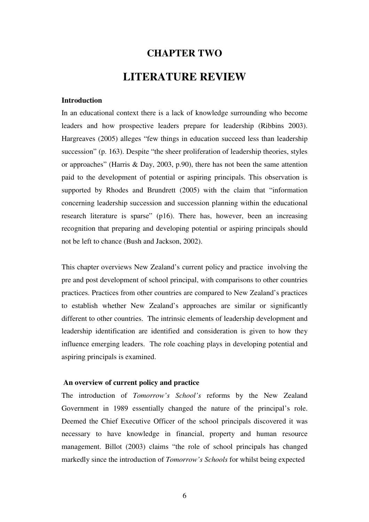# **CHAPTER TWO LITERATURE REVIEW**

#### **Introduction**

In an educational context there is a lack of knowledge surrounding who become leaders and how prospective leaders prepare for leadership (Ribbins 2003). Hargreaves (2005) alleges "few things in education succeed less than leadership succession" (p. 163). Despite "the sheer proliferation of leadership theories, styles or approaches" (Harris & Day, 2003, p.90), there has not been the same attention paid to the development of potential or aspiring principals. This observation is supported by Rhodes and Brundrett (2005) with the claim that "information concerning leadership succession and succession planning within the educational research literature is sparse" (p16). There has, however, been an increasing recognition that preparing and developing potential or aspiring principals should not be left to chance (Bush and Jackson, 2002).

This chapter overviews New Zealand's current policy and practice involving the pre and post development of school principal, with comparisons to other countries practices. Practices from other countries are compared to New Zealand's practices to establish whether New Zealand's approaches are similar or significantly different to other countries. The intrinsic elements of leadership development and leadership identification are identified and consideration is given to how they influence emerging leaders. The role coaching plays in developing potential and aspiring principals is examined.

#### **An overview of current policy and practice**

The introduction of *Tomorrow's School's* reforms by the New Zealand Government in 1989 essentially changed the nature of the principal's role. Deemed the Chief Executive Officer of the school principals discovered it was necessary to have knowledge in financial, property and human resource management. Billot (2003) claims "the role of school principals has changed markedly since the introduction of *Tomorrow's Schools* for whilst being expected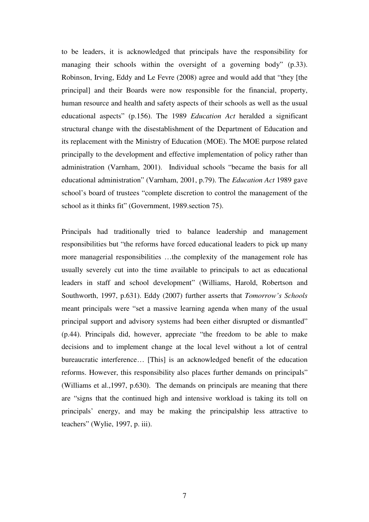to be leaders, it is acknowledged that principals have the responsibility for managing their schools within the oversight of a governing body" (p.33). Robinson, Irving, Eddy and Le Fevre (2008) agree and would add that "they [the principal] and their Boards were now responsible for the financial, property, human resource and health and safety aspects of their schools as well as the usual educational aspects" (p.156). The 1989 *Education Act* heralded a significant structural change with the disestablishment of the Department of Education and its replacement with the Ministry of Education (MOE). The MOE purpose related principally to the development and effective implementation of policy rather than administration (Varnham, 2001). Individual schools "became the basis for all educational administration" (Varnham, 2001, p.79). The *Education Act* 1989 gave school's board of trustees "complete discretion to control the management of the school as it thinks fit" (Government, 1989.section 75).

Principals had traditionally tried to balance leadership and management responsibilities but "the reforms have forced educational leaders to pick up many more managerial responsibilities …the complexity of the management role has usually severely cut into the time available to principals to act as educational leaders in staff and school development" (Williams, Harold, Robertson and Southworth, 1997, p.631). Eddy (2007) further asserts that *Tomorrow's Schools* meant principals were "set a massive learning agenda when many of the usual principal support and advisory systems had been either disrupted or dismantled" (p.44). Principals did, however, appreciate "the freedom to be able to make decisions and to implement change at the local level without a lot of central bureaucratic interference… [This] is an acknowledged benefit of the education reforms. However, this responsibility also places further demands on principals" (Williams et al.,1997, p.630). The demands on principals are meaning that there are "signs that the continued high and intensive workload is taking its toll on principals' energy, and may be making the principalship less attractive to teachers" (Wylie, 1997, p. iii).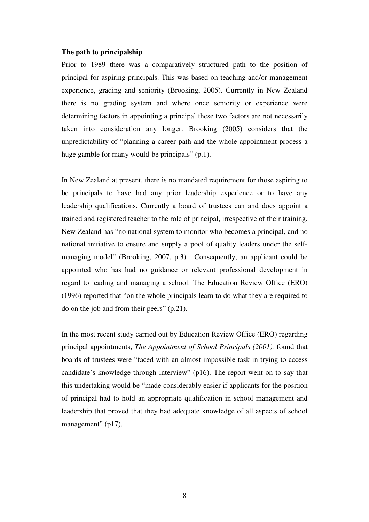#### **The path to principalship**

Prior to 1989 there was a comparatively structured path to the position of principal for aspiring principals. This was based on teaching and/or management experience, grading and seniority (Brooking, 2005). Currently in New Zealand there is no grading system and where once seniority or experience were determining factors in appointing a principal these two factors are not necessarily taken into consideration any longer. Brooking (2005) considers that the unpredictability of "planning a career path and the whole appointment process a huge gamble for many would-be principals" (p.1).

In New Zealand at present, there is no mandated requirement for those aspiring to be principals to have had any prior leadership experience or to have any leadership qualifications. Currently a board of trustees can and does appoint a trained and registered teacher to the role of principal, irrespective of their training. New Zealand has "no national system to monitor who becomes a principal, and no national initiative to ensure and supply a pool of quality leaders under the selfmanaging model" (Brooking, 2007, p.3). Consequently, an applicant could be appointed who has had no guidance or relevant professional development in regard to leading and managing a school. The Education Review Office (ERO) (1996) reported that "on the whole principals learn to do what they are required to do on the job and from their peers" (p.21).

In the most recent study carried out by Education Review Office (ERO) regarding principal appointments, *The Appointment of School Principals (2001),* found that boards of trustees were "faced with an almost impossible task in trying to access candidate's knowledge through interview" (p16). The report went on to say that this undertaking would be "made considerably easier if applicants for the position of principal had to hold an appropriate qualification in school management and leadership that proved that they had adequate knowledge of all aspects of school management" (p17).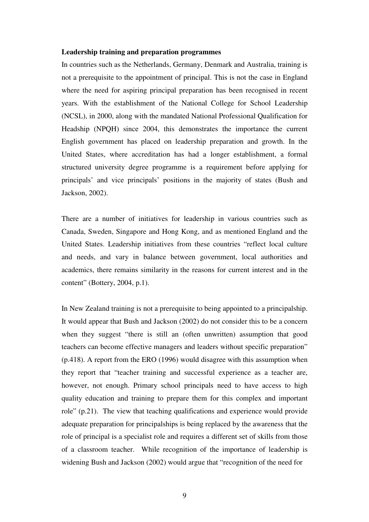#### **Leadership training and preparation programmes**

In countries such as the Netherlands, Germany, Denmark and Australia, training is not a prerequisite to the appointment of principal. This is not the case in England where the need for aspiring principal preparation has been recognised in recent years. With the establishment of the National College for School Leadership (NCSL), in 2000, along with the mandated National Professional Qualification for Headship (NPQH) since 2004, this demonstrates the importance the current English government has placed on leadership preparation and growth. In the United States, where accreditation has had a longer establishment, a formal structured university degree programme is a requirement before applying for principals' and vice principals' positions in the majority of states (Bush and Jackson, 2002).

There are a number of initiatives for leadership in various countries such as Canada, Sweden, Singapore and Hong Kong, and as mentioned England and the United States. Leadership initiatives from these countries "reflect local culture and needs, and vary in balance between government, local authorities and academics, there remains similarity in the reasons for current interest and in the content" (Bottery, 2004, p.1).

In New Zealand training is not a prerequisite to being appointed to a principalship. It would appear that Bush and Jackson (2002) do not consider this to be a concern when they suggest "there is still an (often unwritten) assumption that good teachers can become effective managers and leaders without specific preparation" (p.418). A report from the ERO (1996) would disagree with this assumption when they report that "teacher training and successful experience as a teacher are, however, not enough. Primary school principals need to have access to high quality education and training to prepare them for this complex and important role" (p.21). The view that teaching qualifications and experience would provide adequate preparation for principalships is being replaced by the awareness that the role of principal is a specialist role and requires a different set of skills from those of a classroom teacher. While recognition of the importance of leadership is widening Bush and Jackson (2002) would argue that "recognition of the need for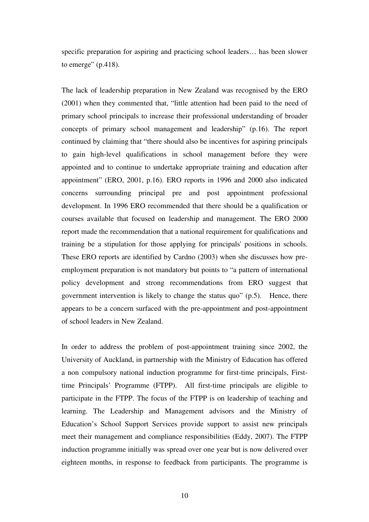specific preparation for aspiring and practicing school leaders… has been slower to emerge"  $(p.418)$ .

The lack of leadership preparation in New Zealand was recognised by the ERO (2001) when they commented that, "little attention had been paid to the need of primary school principals to increase their professional understanding of broader concepts of primary school management and leadership" (p.16). The report continued by claiming that "there should also be incentives for aspiring principals to gain high-level qualifications in school management before they were appointed and to continue to undertake appropriate training and education after appointment" (ERO, 2001, p.16). ERO reports in 1996 and 2000 also indicated concerns surrounding principal pre and post appointment professional development. In 1996 ERO recommended that there should be a qualification or courses available that focused on leadership and management. The ERO 2000 report made the recommendation that a national requirement for qualifications and training be a stipulation for those applying for principals' positions in schools. These ERO reports are identified by Cardno (2003) when she discusses how preemployment preparation is not mandatory but points to "a pattern of international policy development and strong recommendations from ERO suggest that government intervention is likely to change the status quo" (p.5). Hence, there appears to be a concern surfaced with the pre-appointment and post-appointment of school leaders in New Zealand.

In order to address the problem of post-appointment training since 2002, the University of Auckland, in partnership with the Ministry of Education has offered a non compulsory national induction programme for first-time principals, Firsttime Principals' Programme (FTPP). All first-time principals are eligible to participate in the FTPP. The focus of the FTPP is on leadership of teaching and learning. The Leadership and Management advisors and the Ministry of Education's School Support Services provide support to assist new principals meet their management and compliance responsibilities (Eddy, 2007). The FTPP induction programme initially was spread over one year but is now delivered over eighteen months, in response to feedback from participants. The programme is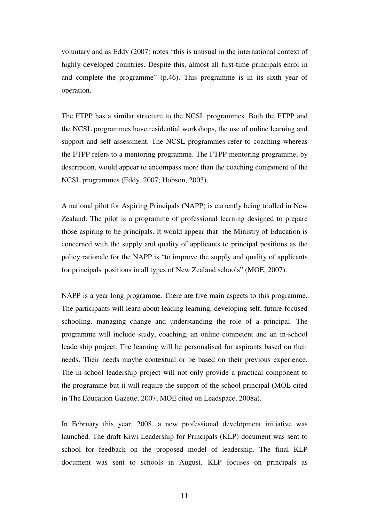voluntary and as Eddy (2007) notes "this is unusual in the international context of highly developed countries. Despite this, almost all first-time principals enrol in and complete the programme" (p.46). This programme is in its sixth year of operation.

The FTPP has a similar structure to the NCSL programmes. Both the FTPP and the NCSL programmes have residential workshops, the use of online learning and support and self assessment. The NCSL programmes refer to coaching whereas the FTPP refers to a mentoring programme. The FTPP mentoring programme, by description, would appear to encompass more than the coaching component of the NCSL programmes (Eddy, 2007; Hobson, 2003).

A national pilot for Aspiring Principals (NAPP) is currently being trialled in New Zealand. The pilot is a programme of professional learning designed to prepare those aspiring to be principals. It would appear that the Ministry of Education is concerned with the supply and quality of applicants to principal positions as the policy rationale for the NAPP is "to improve the supply and quality of applicants for principals' positions in all types of New Zealand schools" (MOE, 2007).

NAPP is a year long programme. There are five main aspects to this programme. The participants will learn about leading learning, developing self, future-focused schooling, managing change and understanding the role of a principal. The programme will include study, coaching, an online competent and an in-school leadership project. The learning will be personalised for aspirants based on their needs. Their needs maybe contextual or be based on their previous experience. The in-school leadership project will not only provide a practical component to the programme but it will require the support of the school principal (MOE cited in The Education Gazette, 2007; MOE cited on Leadspace, 2008a).

In February this year, 2008, a new professional development initiative was launched. The draft Kiwi Leadership for Principals (KLP) document was sent to school for feedback on the proposed model of leadership. The final KLP document was sent to schools in August. KLP focuses on principals as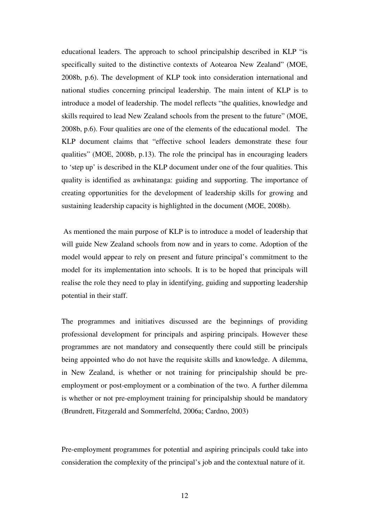educational leaders. The approach to school principalship described in KLP "is specifically suited to the distinctive contexts of Aotearoa New Zealand" (MOE, 2008b, p.6). The development of KLP took into consideration international and national studies concerning principal leadership. The main intent of KLP is to introduce a model of leadership. The model reflects "the qualities, knowledge and skills required to lead New Zealand schools from the present to the future" (MOE, 2008b, p.6). Four qualities are one of the elements of the educational model. The KLP document claims that "effective school leaders demonstrate these four qualities" (MOE, 2008b, p.13). The role the principal has in encouraging leaders to 'step up' is described in the KLP document under one of the four qualities. This quality is identified as awhinatanga: guiding and supporting. The importance of creating opportunities for the development of leadership skills for growing and sustaining leadership capacity is highlighted in the document (MOE, 2008b).

 As mentioned the main purpose of KLP is to introduce a model of leadership that will guide New Zealand schools from now and in years to come. Adoption of the model would appear to rely on present and future principal's commitment to the model for its implementation into schools. It is to be hoped that principals will realise the role they need to play in identifying, guiding and supporting leadership potential in their staff.

The programmes and initiatives discussed are the beginnings of providing professional development for principals and aspiring principals. However these programmes are not mandatory and consequently there could still be principals being appointed who do not have the requisite skills and knowledge. A dilemma, in New Zealand, is whether or not training for principalship should be preemployment or post-employment or a combination of the two. A further dilemma is whether or not pre-employment training for principalship should be mandatory (Brundrett, Fitzgerald and Sommerfeltd, 2006a; Cardno, 2003)

Pre-employment programmes for potential and aspiring principals could take into consideration the complexity of the principal's job and the contextual nature of it.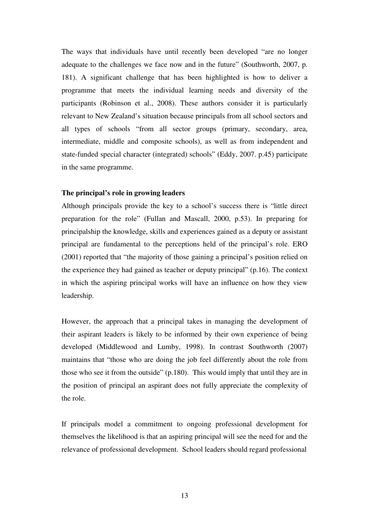The ways that individuals have until recently been developed "are no longer adequate to the challenges we face now and in the future" (Southworth, 2007, p. 181). A significant challenge that has been highlighted is how to deliver a programme that meets the individual learning needs and diversity of the participants (Robinson et al., 2008). These authors consider it is particularly relevant to New Zealand's situation because principals from all school sectors and all types of schools "from all sector groups (primary, secondary, area, intermediate, middle and composite schools), as well as from independent and state-funded special character (integrated) schools" (Eddy, 2007. p.45) participate in the same programme.

#### **The principal's role in growing leaders**

Although principals provide the key to a school's success there is "little direct preparation for the role" (Fullan and Mascall, 2000, p.53). In preparing for principalship the knowledge, skills and experiences gained as a deputy or assistant principal are fundamental to the perceptions held of the principal's role. ERO (2001) reported that "the majority of those gaining a principal's position relied on the experience they had gained as teacher or deputy principal" (p.16). The context in which the aspiring principal works will have an influence on how they view leadership.

However, the approach that a principal takes in managing the development of their aspirant leaders is likely to be informed by their own experience of being developed (Middlewood and Lumby, 1998). In contrast Southworth (2007) maintains that "those who are doing the job feel differently about the role from those who see it from the outside" (p.180). This would imply that until they are in the position of principal an aspirant does not fully appreciate the complexity of the role.

If principals model a commitment to ongoing professional development for themselves the likelihood is that an aspiring principal will see the need for and the relevance of professional development. School leaders should regard professional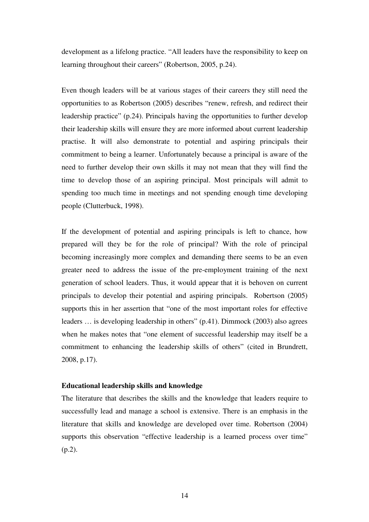development as a lifelong practice. "All leaders have the responsibility to keep on learning throughout their careers" (Robertson, 2005, p.24).

Even though leaders will be at various stages of their careers they still need the opportunities to as Robertson (2005) describes "renew, refresh, and redirect their leadership practice" (p.24). Principals having the opportunities to further develop their leadership skills will ensure they are more informed about current leadership practise. It will also demonstrate to potential and aspiring principals their commitment to being a learner. Unfortunately because a principal is aware of the need to further develop their own skills it may not mean that they will find the time to develop those of an aspiring principal. Most principals will admit to spending too much time in meetings and not spending enough time developing people (Clutterbuck, 1998).

If the development of potential and aspiring principals is left to chance, how prepared will they be for the role of principal? With the role of principal becoming increasingly more complex and demanding there seems to be an even greater need to address the issue of the pre-employment training of the next generation of school leaders. Thus, it would appear that it is behoven on current principals to develop their potential and aspiring principals. Robertson (2005) supports this in her assertion that "one of the most important roles for effective leaders … is developing leadership in others" (p.41). Dimmock (2003) also agrees when he makes notes that "one element of successful leadership may itself be a commitment to enhancing the leadership skills of others" (cited in Brundrett, 2008, p.17).

#### **Educational leadership skills and knowledge**

The literature that describes the skills and the knowledge that leaders require to successfully lead and manage a school is extensive. There is an emphasis in the literature that skills and knowledge are developed over time. Robertson (2004) supports this observation "effective leadership is a learned process over time" (p.2).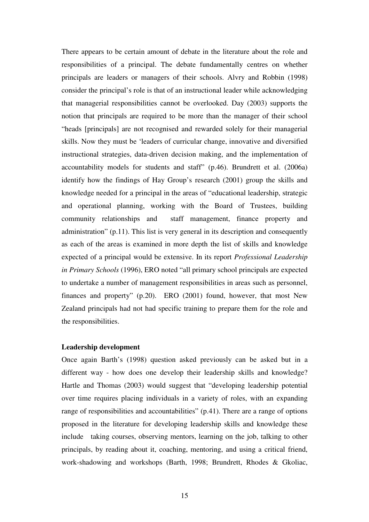There appears to be certain amount of debate in the literature about the role and responsibilities of a principal. The debate fundamentally centres on whether principals are leaders or managers of their schools. Alvry and Robbin (1998) consider the principal's role is that of an instructional leader while acknowledging that managerial responsibilities cannot be overlooked. Day (2003) supports the notion that principals are required to be more than the manager of their school "heads [principals] are not recognised and rewarded solely for their managerial skills. Now they must be 'leaders of curricular change, innovative and diversified instructional strategies, data-driven decision making, and the implementation of accountability models for students and staff" (p.46). Brundrett et al. (2006a) identify how the findings of Hay Group's research (2001) group the skills and knowledge needed for a principal in the areas of "educational leadership, strategic and operational planning, working with the Board of Trustees, building community relationships and staff management, finance property and administration" (p.11). This list is very general in its description and consequently as each of the areas is examined in more depth the list of skills and knowledge expected of a principal would be extensive. In its report *Professional Leadership in Primary Schools* (1996), ERO noted "all primary school principals are expected to undertake a number of management responsibilities in areas such as personnel, finances and property" (p.20). ERO (2001) found, however, that most New Zealand principals had not had specific training to prepare them for the role and the responsibilities.

#### **Leadership development**

Once again Barth's (1998) question asked previously can be asked but in a different way - how does one develop their leadership skills and knowledge? Hartle and Thomas (2003) would suggest that "developing leadership potential over time requires placing individuals in a variety of roles, with an expanding range of responsibilities and accountabilities" (p.41). There are a range of options proposed in the literature for developing leadership skills and knowledge these include taking courses, observing mentors, learning on the job, talking to other principals, by reading about it, coaching, mentoring, and using a critical friend, work-shadowing and workshops (Barth, 1998; Brundrett, Rhodes & Gkoliac,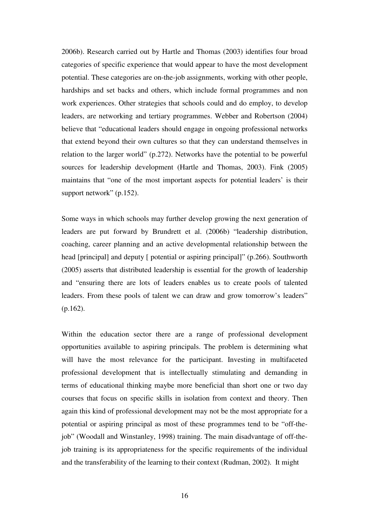2006b). Research carried out by Hartle and Thomas (2003) identifies four broad categories of specific experience that would appear to have the most development potential. These categories are on-the-job assignments, working with other people, hardships and set backs and others, which include formal programmes and non work experiences. Other strategies that schools could and do employ, to develop leaders, are networking and tertiary programmes. Webber and Robertson (2004) believe that "educational leaders should engage in ongoing professional networks that extend beyond their own cultures so that they can understand themselves in relation to the larger world" (p.272). Networks have the potential to be powerful sources for leadership development (Hartle and Thomas, 2003). Fink (2005) maintains that "one of the most important aspects for potential leaders' is their support network" (p.152).

Some ways in which schools may further develop growing the next generation of leaders are put forward by Brundrett et al. (2006b) "leadership distribution, coaching, career planning and an active developmental relationship between the head [principal] and deputy [ potential or aspiring principal]" (p.266). Southworth (2005) asserts that distributed leadership is essential for the growth of leadership and "ensuring there are lots of leaders enables us to create pools of talented leaders. From these pools of talent we can draw and grow tomorrow's leaders" (p.162).

Within the education sector there are a range of professional development opportunities available to aspiring principals. The problem is determining what will have the most relevance for the participant. Investing in multifaceted professional development that is intellectually stimulating and demanding in terms of educational thinking maybe more beneficial than short one or two day courses that focus on specific skills in isolation from context and theory. Then again this kind of professional development may not be the most appropriate for a potential or aspiring principal as most of these programmes tend to be "off-thejob" (Woodall and Winstanley, 1998) training. The main disadvantage of off-thejob training is its appropriateness for the specific requirements of the individual and the transferability of the learning to their context (Rudman, 2002). It might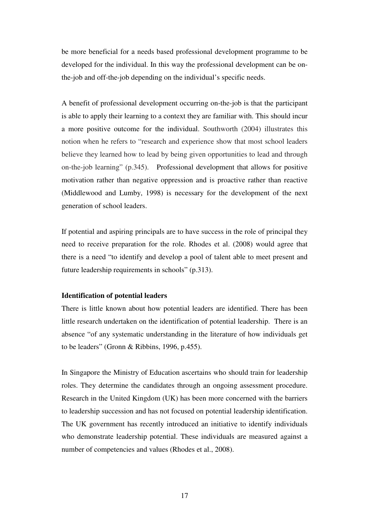be more beneficial for a needs based professional development programme to be developed for the individual. In this way the professional development can be onthe-job and off-the-job depending on the individual's specific needs.

A benefit of professional development occurring on-the-job is that the participant is able to apply their learning to a context they are familiar with. This should incur a more positive outcome for the individual. Southworth (2004) illustrates this notion when he refers to "research and experience show that most school leaders believe they learned how to lead by being given opportunities to lead and through on-the-job learning" (p.345). Professional development that allows for positive motivation rather than negative oppression and is proactive rather than reactive (Middlewood and Lumby, 1998) is necessary for the development of the next generation of school leaders.

If potential and aspiring principals are to have success in the role of principal they need to receive preparation for the role. Rhodes et al. (2008) would agree that there is a need "to identify and develop a pool of talent able to meet present and future leadership requirements in schools" (p.313).

#### **Identification of potential leaders**

There is little known about how potential leaders are identified. There has been little research undertaken on the identification of potential leadership. There is an absence "of any systematic understanding in the literature of how individuals get to be leaders" (Gronn & Ribbins, 1996, p.455).

In Singapore the Ministry of Education ascertains who should train for leadership roles. They determine the candidates through an ongoing assessment procedure. Research in the United Kingdom (UK) has been more concerned with the barriers to leadership succession and has not focused on potential leadership identification. The UK government has recently introduced an initiative to identify individuals who demonstrate leadership potential. These individuals are measured against a number of competencies and values (Rhodes et al., 2008).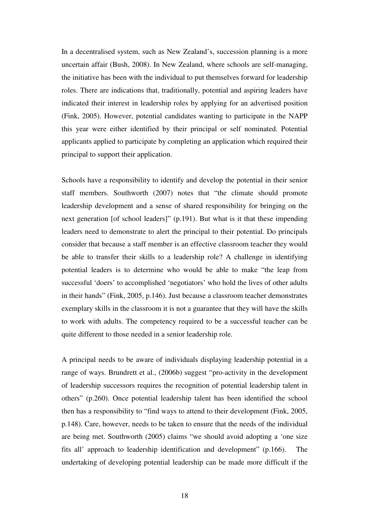In a decentralised system, such as New Zealand's, succession planning is a more uncertain affair (Bush, 2008). In New Zealand, where schools are self-managing, the initiative has been with the individual to put themselves forward for leadership roles. There are indications that, traditionally, potential and aspiring leaders have indicated their interest in leadership roles by applying for an advertised position (Fink, 2005). However, potential candidates wanting to participate in the NAPP this year were either identified by their principal or self nominated. Potential applicants applied to participate by completing an application which required their principal to support their application.

Schools have a responsibility to identify and develop the potential in their senior staff members. Southworth (2007) notes that "the climate should promote leadership development and a sense of shared responsibility for bringing on the next generation [of school leaders]" (p.191). But what is it that these impending leaders need to demonstrate to alert the principal to their potential. Do principals consider that because a staff member is an effective classroom teacher they would be able to transfer their skills to a leadership role? A challenge in identifying potential leaders is to determine who would be able to make "the leap from successful 'doers' to accomplished 'negotiators' who hold the lives of other adults in their hands" (Fink, 2005, p.146). Just because a classroom teacher demonstrates exemplary skills in the classroom it is not a guarantee that they will have the skills to work with adults. The competency required to be a successful teacher can be quite different to those needed in a senior leadership role.

A principal needs to be aware of individuals displaying leadership potential in a range of ways. Brundrett et al., (2006b) suggest "pro-activity in the development of leadership successors requires the recognition of potential leadership talent in others" (p.260). Once potential leadership talent has been identified the school then has a responsibility to "find ways to attend to their development (Fink, 2005, p.148). Care, however, needs to be taken to ensure that the needs of the individual are being met. Southworth (2005) claims "we should avoid adopting a 'one size fits all' approach to leadership identification and development" (p.166). The undertaking of developing potential leadership can be made more difficult if the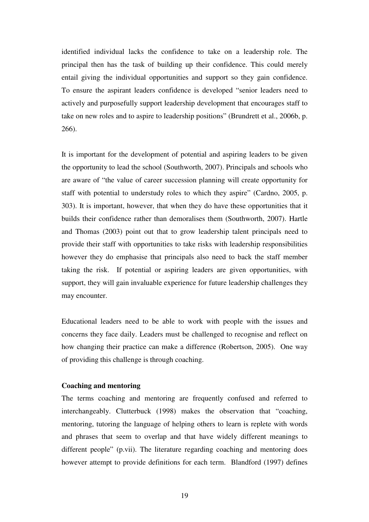identified individual lacks the confidence to take on a leadership role. The principal then has the task of building up their confidence. This could merely entail giving the individual opportunities and support so they gain confidence. To ensure the aspirant leaders confidence is developed "senior leaders need to actively and purposefully support leadership development that encourages staff to take on new roles and to aspire to leadership positions" (Brundrett et al., 2006b, p. 266).

It is important for the development of potential and aspiring leaders to be given the opportunity to lead the school (Southworth, 2007). Principals and schools who are aware of "the value of career succession planning will create opportunity for staff with potential to understudy roles to which they aspire" (Cardno, 2005, p. 303). It is important, however, that when they do have these opportunities that it builds their confidence rather than demoralises them (Southworth, 2007). Hartle and Thomas (2003) point out that to grow leadership talent principals need to provide their staff with opportunities to take risks with leadership responsibilities however they do emphasise that principals also need to back the staff member taking the risk. If potential or aspiring leaders are given opportunities, with support, they will gain invaluable experience for future leadership challenges they may encounter.

Educational leaders need to be able to work with people with the issues and concerns they face daily. Leaders must be challenged to recognise and reflect on how changing their practice can make a difference (Robertson, 2005). One way of providing this challenge is through coaching.

#### **Coaching and mentoring**

The terms coaching and mentoring are frequently confused and referred to interchangeably. Clutterbuck (1998) makes the observation that "coaching, mentoring, tutoring the language of helping others to learn is replete with words and phrases that seem to overlap and that have widely different meanings to different people" (p.vii). The literature regarding coaching and mentoring does however attempt to provide definitions for each term. Blandford (1997) defines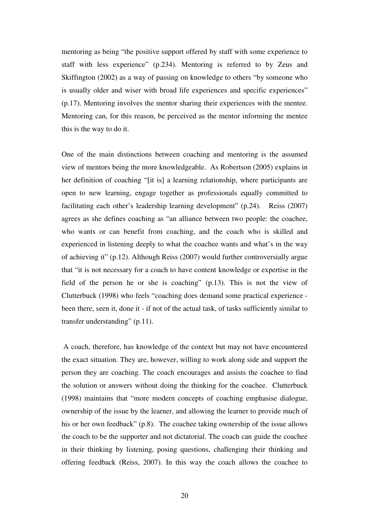mentoring as being "the positive support offered by staff with some experience to staff with less experience" (p.234). Mentoring is referred to by Zeus and Skiffington (2002) as a way of passing on knowledge to others "by someone who is usually older and wiser with broad life experiences and specific experiences" (p.17). Mentoring involves the mentor sharing their experiences with the mentee. Mentoring can, for this reason, be perceived as the mentor informing the mentee this is the way to do it.

One of the main distinctions between coaching and mentoring is the assumed view of mentors being the more knowledgeable. As Robertson (2005) explains in her definition of coaching "[it is] a learning relationship, where participants are open to new learning, engage together as professionals equally committed to facilitating each other's leadership learning development" (p.24). Reiss (2007) agrees as she defines coaching as "an alliance between two people: the coachee, who wants or can benefit from coaching, and the coach who is skilled and experienced in listening deeply to what the coachee wants and what's in the way of achieving it" (p.12). Although Reiss (2007) would further controversially argue that "it is not necessary for a coach to have content knowledge or expertise in the field of the person he or she is coaching" (p.13). This is not the view of Clutterbuck (1998) who feels "coaching does demand some practical experience been there, seen it, done it - if not of the actual task, of tasks sufficiently similar to transfer understanding" (p.11).

 A coach, therefore, has knowledge of the context but may not have encountered the exact situation. They are, however, willing to work along side and support the person they are coaching. The coach encourages and assists the coachee to find the solution or answers without doing the thinking for the coachee. Clutterbuck (1998) maintains that "more modern concepts of coaching emphasise dialogue, ownership of the issue by the learner, and allowing the learner to provide much of his or her own feedback" (p.8). The coachee taking ownership of the issue allows the coach to be the supporter and not dictatorial. The coach can guide the coachee in their thinking by listening, posing questions, challenging their thinking and offering feedback (Reiss, 2007). In this way the coach allows the coachee to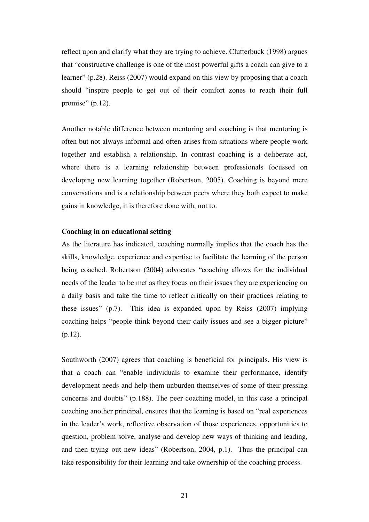reflect upon and clarify what they are trying to achieve. Clutterbuck (1998) argues that "constructive challenge is one of the most powerful gifts a coach can give to a learner" (p.28). Reiss (2007) would expand on this view by proposing that a coach should "inspire people to get out of their comfort zones to reach their full promise"  $(p.12)$ .

Another notable difference between mentoring and coaching is that mentoring is often but not always informal and often arises from situations where people work together and establish a relationship. In contrast coaching is a deliberate act, where there is a learning relationship between professionals focussed on developing new learning together (Robertson, 2005). Coaching is beyond mere conversations and is a relationship between peers where they both expect to make gains in knowledge, it is therefore done with, not to.

#### **Coaching in an educational setting**

As the literature has indicated, coaching normally implies that the coach has the skills, knowledge, experience and expertise to facilitate the learning of the person being coached. Robertson (2004) advocates "coaching allows for the individual needs of the leader to be met as they focus on their issues they are experiencing on a daily basis and take the time to reflect critically on their practices relating to these issues" (p.7). This idea is expanded upon by Reiss (2007) implying coaching helps "people think beyond their daily issues and see a bigger picture" (p.12).

Southworth (2007) agrees that coaching is beneficial for principals. His view is that a coach can "enable individuals to examine their performance, identify development needs and help them unburden themselves of some of their pressing concerns and doubts" (p.188). The peer coaching model, in this case a principal coaching another principal, ensures that the learning is based on "real experiences in the leader's work, reflective observation of those experiences, opportunities to question, problem solve, analyse and develop new ways of thinking and leading, and then trying out new ideas" (Robertson, 2004, p.1). Thus the principal can take responsibility for their learning and take ownership of the coaching process.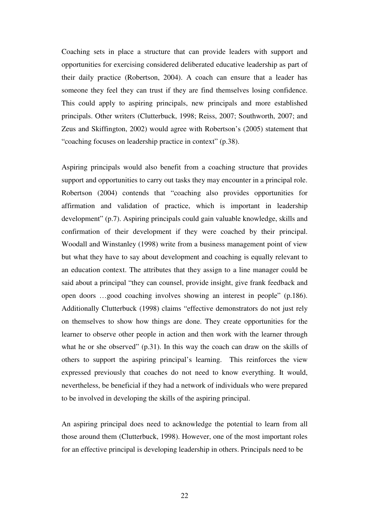Coaching sets in place a structure that can provide leaders with support and opportunities for exercising considered deliberated educative leadership as part of their daily practice (Robertson, 2004). A coach can ensure that a leader has someone they feel they can trust if they are find themselves losing confidence. This could apply to aspiring principals, new principals and more established principals. Other writers (Clutterbuck, 1998; Reiss, 2007; Southworth, 2007; and Zeus and Skiffington, 2002) would agree with Robertson's (2005) statement that "coaching focuses on leadership practice in context" (p.38).

Aspiring principals would also benefit from a coaching structure that provides support and opportunities to carry out tasks they may encounter in a principal role. Robertson (2004) contends that "coaching also provides opportunities for affirmation and validation of practice, which is important in leadership development" (p.7). Aspiring principals could gain valuable knowledge, skills and confirmation of their development if they were coached by their principal. Woodall and Winstanley (1998) write from a business management point of view but what they have to say about development and coaching is equally relevant to an education context. The attributes that they assign to a line manager could be said about a principal "they can counsel, provide insight, give frank feedback and open doors …good coaching involves showing an interest in people" (p.186). Additionally Clutterbuck (1998) claims "effective demonstrators do not just rely on themselves to show how things are done. They create opportunities for the learner to observe other people in action and then work with the learner through what he or she observed" (p.31). In this way the coach can draw on the skills of others to support the aspiring principal's learning. This reinforces the view expressed previously that coaches do not need to know everything. It would, nevertheless, be beneficial if they had a network of individuals who were prepared to be involved in developing the skills of the aspiring principal.

An aspiring principal does need to acknowledge the potential to learn from all those around them (Clutterbuck, 1998). However, one of the most important roles for an effective principal is developing leadership in others. Principals need to be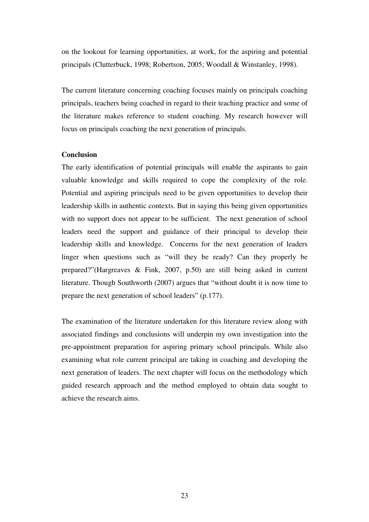on the lookout for learning opportunities, at work, for the aspiring and potential principals (Clutterbuck, 1998; Robertson, 2005; Woodall & Winstanley, 1998).

The current literature concerning coaching focuses mainly on principals coaching principals, teachers being coached in regard to their teaching practice and some of the literature makes reference to student coaching. My research however will focus on principals coaching the next generation of principals.

#### **Conclusion**

The early identification of potential principals will enable the aspirants to gain valuable knowledge and skills required to cope the complexity of the role. Potential and aspiring principals need to be given opportunities to develop their leadership skills in authentic contexts. But in saying this being given opportunities with no support does not appear to be sufficient. The next generation of school leaders need the support and guidance of their principal to develop their leadership skills and knowledge. Concerns for the next generation of leaders linger when questions such as "will they be ready? Can they properly be prepared?"(Hargreaves & Fink, 2007, p.50) are still being asked in current literature. Though Southworth (2007) argues that "without doubt it is now time to prepare the next generation of school leaders" (p.177).

The examination of the literature undertaken for this literature review along with associated findings and conclusions will underpin my own investigation into the pre-appointment preparation for aspiring primary school principals. While also examining what role current principal are taking in coaching and developing the next generation of leaders. The next chapter will focus on the methodology which guided research approach and the method employed to obtain data sought to achieve the research aims.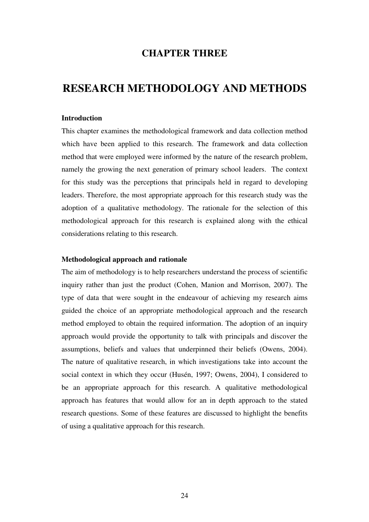### **CHAPTER THREE**

## **RESEARCH METHODOLOGY AND METHODS**

#### **Introduction**

This chapter examines the methodological framework and data collection method which have been applied to this research. The framework and data collection method that were employed were informed by the nature of the research problem, namely the growing the next generation of primary school leaders. The context for this study was the perceptions that principals held in regard to developing leaders. Therefore, the most appropriate approach for this research study was the adoption of a qualitative methodology. The rationale for the selection of this methodological approach for this research is explained along with the ethical considerations relating to this research.

#### **Methodological approach and rationale**

The aim of methodology is to help researchers understand the process of scientific inquiry rather than just the product (Cohen, Manion and Morrison, 2007). The type of data that were sought in the endeavour of achieving my research aims guided the choice of an appropriate methodological approach and the research method employed to obtain the required information. The adoption of an inquiry approach would provide the opportunity to talk with principals and discover the assumptions, beliefs and values that underpinned their beliefs (Owens, 2004). The nature of qualitative research, in which investigations take into account the social context in which they occur (Husén, 1997; Owens, 2004), I considered to be an appropriate approach for this research. A qualitative methodological approach has features that would allow for an in depth approach to the stated research questions. Some of these features are discussed to highlight the benefits of using a qualitative approach for this research.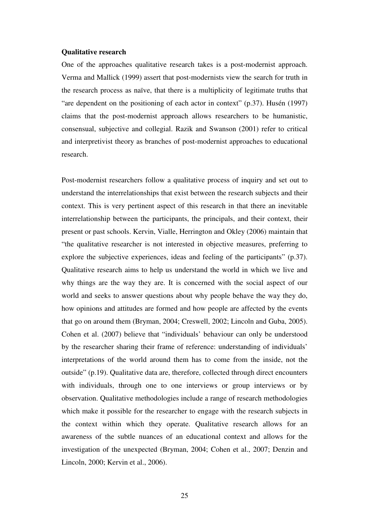#### **Qualitative research**

One of the approaches qualitative research takes is a post-modernist approach. Verma and Mallick (1999) assert that post-modernists view the search for truth in the research process as naïve, that there is a multiplicity of legitimate truths that "are dependent on the positioning of each actor in context" (p.37). Husén (1997) claims that the post-modernist approach allows researchers to be humanistic, consensual, subjective and collegial. Razik and Swanson (2001) refer to critical and interpretivist theory as branches of post-modernist approaches to educational research.

Post-modernist researchers follow a qualitative process of inquiry and set out to understand the interrelationships that exist between the research subjects and their context. This is very pertinent aspect of this research in that there an inevitable interrelationship between the participants, the principals, and their context, their present or past schools. Kervin, Vialle, Herrington and Okley (2006) maintain that "the qualitative researcher is not interested in objective measures, preferring to explore the subjective experiences, ideas and feeling of the participants" (p.37). Qualitative research aims to help us understand the world in which we live and why things are the way they are. It is concerned with the social aspect of our world and seeks to answer questions about why people behave the way they do, how opinions and attitudes are formed and how people are affected by the events that go on around them (Bryman, 2004; Creswell, 2002; Lincoln and Guba, 2005). Cohen et al. (2007) believe that "individuals' behaviour can only be understood by the researcher sharing their frame of reference: understanding of individuals' interpretations of the world around them has to come from the inside, not the outside" (p.19). Qualitative data are, therefore, collected through direct encounters with individuals, through one to one interviews or group interviews or by observation. Qualitative methodologies include a range of research methodologies which make it possible for the researcher to engage with the research subjects in the context within which they operate. Qualitative research allows for an awareness of the subtle nuances of an educational context and allows for the investigation of the unexpected (Bryman, 2004; Cohen et al., 2007; Denzin and Lincoln, 2000; Kervin et al., 2006).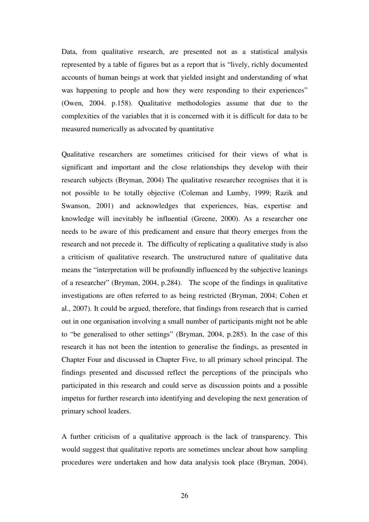Data, from qualitative research, are presented not as a statistical analysis represented by a table of figures but as a report that is "lively, richly documented accounts of human beings at work that yielded insight and understanding of what was happening to people and how they were responding to their experiences" (Owen, 2004. p.158). Qualitative methodologies assume that due to the complexities of the variables that it is concerned with it is difficult for data to be measured numerically as advocated by quantitative

Qualitative researchers are sometimes criticised for their views of what is significant and important and the close relationships they develop with their research subjects (Bryman, 2004) The qualitative researcher recognises that it is not possible to be totally objective (Coleman and Lumby, 1999; Razik and Swanson, 2001) and acknowledges that experiences, bias, expertise and knowledge will inevitably be influential (Greene, 2000). As a researcher one needs to be aware of this predicament and ensure that theory emerges from the research and not precede it. The difficulty of replicating a qualitative study is also a criticism of qualitative research. The unstructured nature of qualitative data means the "interpretation will be profoundly influenced by the subjective leanings of a researcher" (Bryman, 2004, p.284). The scope of the findings in qualitative investigations are often referred to as being restricted (Bryman, 2004; Cohen et al., 2007). It could be argued, therefore, that findings from research that is carried out in one organisation involving a small number of participants might not be able to "be generalised to other settings" (Bryman, 2004, p.285). In the case of this research it has not been the intention to generalise the findings, as presented in Chapter Four and discussed in Chapter Five, to all primary school principal. The findings presented and discussed reflect the perceptions of the principals who participated in this research and could serve as discussion points and a possible impetus for further research into identifying and developing the next generation of primary school leaders.

A further criticism of a qualitative approach is the lack of transparency. This would suggest that qualitative reports are sometimes unclear about how sampling procedures were undertaken and how data analysis took place (Bryman, 2004).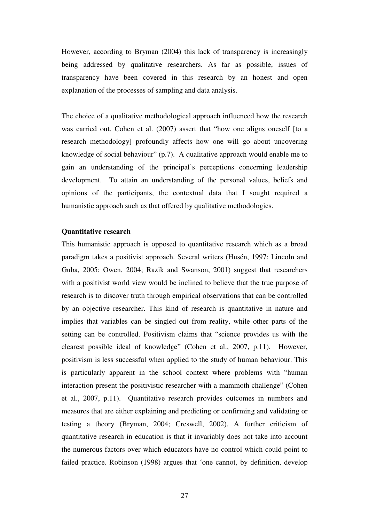However, according to Bryman (2004) this lack of transparency is increasingly being addressed by qualitative researchers. As far as possible, issues of transparency have been covered in this research by an honest and open explanation of the processes of sampling and data analysis.

The choice of a qualitative methodological approach influenced how the research was carried out. Cohen et al. (2007) assert that "how one aligns oneself [to a research methodology] profoundly affects how one will go about uncovering knowledge of social behaviour"  $(p.7)$ . A qualitative approach would enable me to gain an understanding of the principal's perceptions concerning leadership development. To attain an understanding of the personal values, beliefs and opinions of the participants, the contextual data that I sought required a humanistic approach such as that offered by qualitative methodologies.

#### **Quantitative research**

This humanistic approach is opposed to quantitative research which as a broad paradigm takes a positivist approach. Several writers (Husén, 1997; Lincoln and Guba, 2005; Owen, 2004; Razik and Swanson, 2001) suggest that researchers with a positivist world view would be inclined to believe that the true purpose of research is to discover truth through empirical observations that can be controlled by an objective researcher. This kind of research is quantitative in nature and implies that variables can be singled out from reality, while other parts of the setting can be controlled. Positivism claims that "science provides us with the clearest possible ideal of knowledge" (Cohen et al., 2007, p.11). However, positivism is less successful when applied to the study of human behaviour. This is particularly apparent in the school context where problems with "human interaction present the positivistic researcher with a mammoth challenge" (Cohen et al., 2007, p.11). Quantitative research provides outcomes in numbers and measures that are either explaining and predicting or confirming and validating or testing a theory (Bryman, 2004; Creswell, 2002). A further criticism of quantitative research in education is that it invariably does not take into account the numerous factors over which educators have no control which could point to failed practice. Robinson (1998) argues that 'one cannot, by definition, develop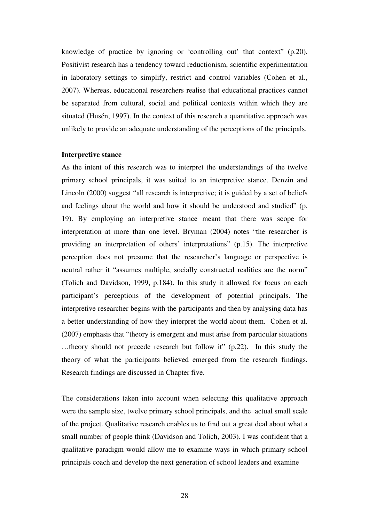knowledge of practice by ignoring or 'controlling out' that context" (p.20). Positivist research has a tendency toward reductionism, scientific experimentation in laboratory settings to simplify, restrict and control variables (Cohen et al., 2007). Whereas, educational researchers realise that educational practices cannot be separated from cultural, social and political contexts within which they are situated (Husén, 1997). In the context of this research a quantitative approach was unlikely to provide an adequate understanding of the perceptions of the principals.

#### **Interpretive stance**

As the intent of this research was to interpret the understandings of the twelve primary school principals, it was suited to an interpretive stance. Denzin and Lincoln (2000) suggest "all research is interpretive; it is guided by a set of beliefs and feelings about the world and how it should be understood and studied" (p. 19). By employing an interpretive stance meant that there was scope for interpretation at more than one level. Bryman (2004) notes "the researcher is providing an interpretation of others' interpretations" (p.15). The interpretive perception does not presume that the researcher's language or perspective is neutral rather it "assumes multiple, socially constructed realities are the norm" (Tolich and Davidson, 1999, p.184). In this study it allowed for focus on each participant's perceptions of the development of potential principals. The interpretive researcher begins with the participants and then by analysing data has a better understanding of how they interpret the world about them. Cohen et al. (2007) emphasis that "theory is emergent and must arise from particular situations …theory should not precede research but follow it" (p.22). In this study the theory of what the participants believed emerged from the research findings. Research findings are discussed in Chapter five.

The considerations taken into account when selecting this qualitative approach were the sample size, twelve primary school principals, and the actual small scale of the project. Qualitative research enables us to find out a great deal about what a small number of people think (Davidson and Tolich, 2003). I was confident that a qualitative paradigm would allow me to examine ways in which primary school principals coach and develop the next generation of school leaders and examine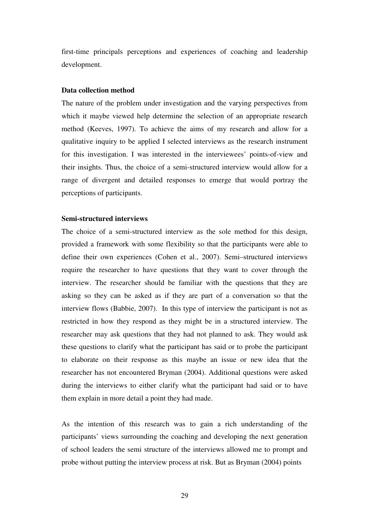first-time principals perceptions and experiences of coaching and leadership development.

#### **Data collection method**

The nature of the problem under investigation and the varying perspectives from which it maybe viewed help determine the selection of an appropriate research method (Keeves, 1997). To achieve the aims of my research and allow for a qualitative inquiry to be applied I selected interviews as the research instrument for this investigation. I was interested in the interviewees' points-of-view and their insights. Thus, the choice of a semi-structured interview would allow for a range of divergent and detailed responses to emerge that would portray the perceptions of participants.

#### **Semi-structured interviews**

The choice of a semi-structured interview as the sole method for this design, provided a framework with some flexibility so that the participants were able to define their own experiences (Cohen et al., 2007). Semi–structured interviews require the researcher to have questions that they want to cover through the interview. The researcher should be familiar with the questions that they are asking so they can be asked as if they are part of a conversation so that the interview flows (Babbie, 2007). In this type of interview the participant is not as restricted in how they respond as they might be in a structured interview. The researcher may ask questions that they had not planned to ask. They would ask these questions to clarify what the participant has said or to probe the participant to elaborate on their response as this maybe an issue or new idea that the researcher has not encountered Bryman (2004). Additional questions were asked during the interviews to either clarify what the participant had said or to have them explain in more detail a point they had made.

As the intention of this research was to gain a rich understanding of the participants' views surrounding the coaching and developing the next generation of school leaders the semi structure of the interviews allowed me to prompt and probe without putting the interview process at risk. But as Bryman (2004) points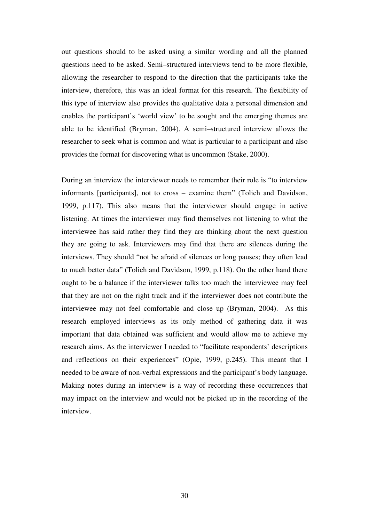out questions should to be asked using a similar wording and all the planned questions need to be asked. Semi–structured interviews tend to be more flexible, allowing the researcher to respond to the direction that the participants take the interview, therefore, this was an ideal format for this research. The flexibility of this type of interview also provides the qualitative data a personal dimension and enables the participant's 'world view' to be sought and the emerging themes are able to be identified (Bryman, 2004). A semi–structured interview allows the researcher to seek what is common and what is particular to a participant and also provides the format for discovering what is uncommon (Stake, 2000).

During an interview the interviewer needs to remember their role is "to interview informants [participants], not to cross – examine them" (Tolich and Davidson, 1999, p.117). This also means that the interviewer should engage in active listening. At times the interviewer may find themselves not listening to what the interviewee has said rather they find they are thinking about the next question they are going to ask. Interviewers may find that there are silences during the interviews. They should "not be afraid of silences or long pauses; they often lead to much better data" (Tolich and Davidson, 1999, p.118). On the other hand there ought to be a balance if the interviewer talks too much the interviewee may feel that they are not on the right track and if the interviewer does not contribute the interviewee may not feel comfortable and close up (Bryman, 2004). As this research employed interviews as its only method of gathering data it was important that data obtained was sufficient and would allow me to achieve my research aims. As the interviewer I needed to "facilitate respondents' descriptions and reflections on their experiences" (Opie, 1999, p.245). This meant that I needed to be aware of non-verbal expressions and the participant's body language. Making notes during an interview is a way of recording these occurrences that may impact on the interview and would not be picked up in the recording of the interview.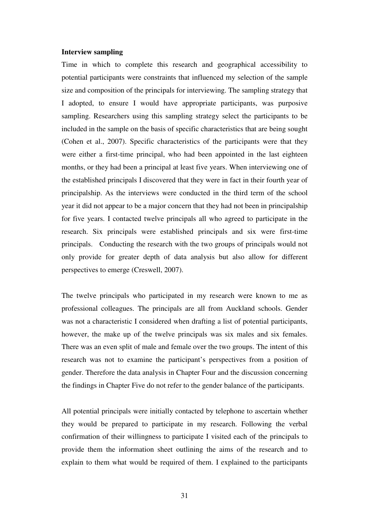#### **Interview sampling**

Time in which to complete this research and geographical accessibility to potential participants were constraints that influenced my selection of the sample size and composition of the principals for interviewing. The sampling strategy that I adopted, to ensure I would have appropriate participants, was purposive sampling. Researchers using this sampling strategy select the participants to be included in the sample on the basis of specific characteristics that are being sought (Cohen et al., 2007). Specific characteristics of the participants were that they were either a first-time principal, who had been appointed in the last eighteen months, or they had been a principal at least five years. When interviewing one of the established principals I discovered that they were in fact in their fourth year of principalship. As the interviews were conducted in the third term of the school year it did not appear to be a major concern that they had not been in principalship for five years. I contacted twelve principals all who agreed to participate in the research. Six principals were established principals and six were first-time principals. Conducting the research with the two groups of principals would not only provide for greater depth of data analysis but also allow for different perspectives to emerge (Creswell, 2007).

The twelve principals who participated in my research were known to me as professional colleagues. The principals are all from Auckland schools. Gender was not a characteristic I considered when drafting a list of potential participants, however, the make up of the twelve principals was six males and six females. There was an even split of male and female over the two groups. The intent of this research was not to examine the participant's perspectives from a position of gender. Therefore the data analysis in Chapter Four and the discussion concerning the findings in Chapter Five do not refer to the gender balance of the participants.

All potential principals were initially contacted by telephone to ascertain whether they would be prepared to participate in my research. Following the verbal confirmation of their willingness to participate I visited each of the principals to provide them the information sheet outlining the aims of the research and to explain to them what would be required of them. I explained to the participants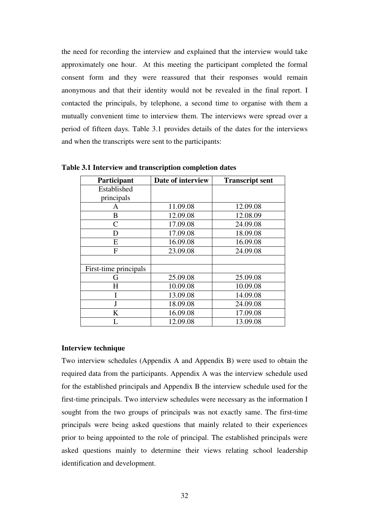the need for recording the interview and explained that the interview would take approximately one hour. At this meeting the participant completed the formal consent form and they were reassured that their responses would remain anonymous and that their identity would not be revealed in the final report. I contacted the principals, by telephone, a second time to organise with them a mutually convenient time to interview them. The interviews were spread over a period of fifteen days. Table 3.1 provides details of the dates for the interviews and when the transcripts were sent to the participants:

| Participant           | Date of interview | <b>Transcript sent</b> |
|-----------------------|-------------------|------------------------|
| Established           |                   |                        |
| principals            |                   |                        |
| A                     | 11.09.08          | 12.09.08               |
| B                     | 12.09.08          | 12.08.09               |
| C                     | 17.09.08          | 24.09.08               |
| D                     | 17.09.08          | 18.09.08               |
| E                     | 16.09.08          | 16.09.08               |
| F                     | 23.09.08          | 24.09.08               |
|                       |                   |                        |
| First-time principals |                   |                        |
| G                     | 25.09.08          | 25.09.08               |
| H                     | 10.09.08          | 10.09.08               |
|                       | 13.09.08          | 14.09.08               |
| J                     | 18.09.08          | 24.09.08               |
| K                     | 16.09.08          | 17.09.08               |
|                       | 12.09.08          | 13.09.08               |

**Table 3.1 Interview and transcription completion dates** 

#### **Interview technique**

Two interview schedules (Appendix A and Appendix B) were used to obtain the required data from the participants. Appendix A was the interview schedule used for the established principals and Appendix B the interview schedule used for the first-time principals. Two interview schedules were necessary as the information I sought from the two groups of principals was not exactly same. The first-time principals were being asked questions that mainly related to their experiences prior to being appointed to the role of principal. The established principals were asked questions mainly to determine their views relating school leadership identification and development.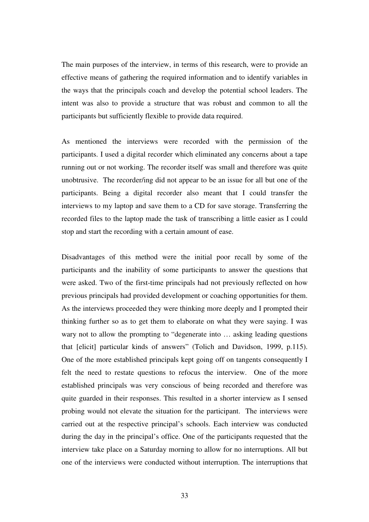The main purposes of the interview, in terms of this research, were to provide an effective means of gathering the required information and to identify variables in the ways that the principals coach and develop the potential school leaders. The intent was also to provide a structure that was robust and common to all the participants but sufficiently flexible to provide data required.

As mentioned the interviews were recorded with the permission of the participants. I used a digital recorder which eliminated any concerns about a tape running out or not working. The recorder itself was small and therefore was quite unobtrusive. The recorder/ing did not appear to be an issue for all but one of the participants. Being a digital recorder also meant that I could transfer the interviews to my laptop and save them to a CD for save storage. Transferring the recorded files to the laptop made the task of transcribing a little easier as I could stop and start the recording with a certain amount of ease.

Disadvantages of this method were the initial poor recall by some of the participants and the inability of some participants to answer the questions that were asked. Two of the first-time principals had not previously reflected on how previous principals had provided development or coaching opportunities for them. As the interviews proceeded they were thinking more deeply and I prompted their thinking further so as to get them to elaborate on what they were saying. I was wary not to allow the prompting to "degenerate into … asking leading questions that [elicit] particular kinds of answers" (Tolich and Davidson, 1999, p.115). One of the more established principals kept going off on tangents consequently I felt the need to restate questions to refocus the interview. One of the more established principals was very conscious of being recorded and therefore was quite guarded in their responses. This resulted in a shorter interview as I sensed probing would not elevate the situation for the participant. The interviews were carried out at the respective principal's schools. Each interview was conducted during the day in the principal's office. One of the participants requested that the interview take place on a Saturday morning to allow for no interruptions. All but one of the interviews were conducted without interruption. The interruptions that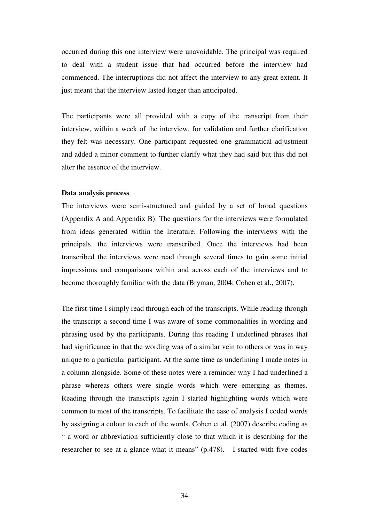occurred during this one interview were unavoidable. The principal was required to deal with a student issue that had occurred before the interview had commenced. The interruptions did not affect the interview to any great extent. It just meant that the interview lasted longer than anticipated.

The participants were all provided with a copy of the transcript from their interview, within a week of the interview, for validation and further clarification they felt was necessary. One participant requested one grammatical adjustment and added a minor comment to further clarify what they had said but this did not alter the essence of the interview.

#### **Data analysis process**

The interviews were semi-structured and guided by a set of broad questions (Appendix A and Appendix B). The questions for the interviews were formulated from ideas generated within the literature. Following the interviews with the principals, the interviews were transcribed. Once the interviews had been transcribed the interviews were read through several times to gain some initial impressions and comparisons within and across each of the interviews and to become thoroughly familiar with the data (Bryman, 2004; Cohen et al., 2007).

The first-time I simply read through each of the transcripts. While reading through the transcript a second time I was aware of some commonalities in wording and phrasing used by the participants. During this reading I underlined phrases that had significance in that the wording was of a similar vein to others or was in way unique to a particular participant. At the same time as underlining I made notes in a column alongside. Some of these notes were a reminder why I had underlined a phrase whereas others were single words which were emerging as themes. Reading through the transcripts again I started highlighting words which were common to most of the transcripts. To facilitate the ease of analysis I coded words by assigning a colour to each of the words. Cohen et al. (2007) describe coding as " a word or abbreviation sufficiently close to that which it is describing for the researcher to see at a glance what it means" (p.478). I started with five codes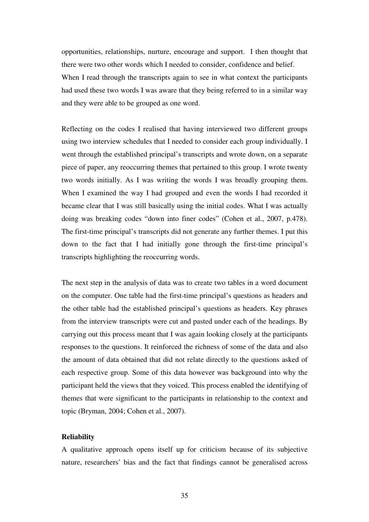opportunities, relationships, nurture, encourage and support. I then thought that there were two other words which I needed to consider, confidence and belief. When I read through the transcripts again to see in what context the participants had used these two words I was aware that they being referred to in a similar way and they were able to be grouped as one word.

Reflecting on the codes I realised that having interviewed two different groups using two interview schedules that I needed to consider each group individually. I went through the established principal's transcripts and wrote down, on a separate piece of paper, any reoccurring themes that pertained to this group. I wrote twenty two words initially. As I was writing the words I was broadly grouping them. When I examined the way I had grouped and even the words I had recorded it became clear that I was still basically using the initial codes. What I was actually doing was breaking codes "down into finer codes" (Cohen et al., 2007, p.478). The first-time principal's transcripts did not generate any further themes. I put this down to the fact that I had initially gone through the first-time principal's transcripts highlighting the reoccurring words.

The next step in the analysis of data was to create two tables in a word document on the computer. One table had the first-time principal's questions as headers and the other table had the established principal's questions as headers. Key phrases from the interview transcripts were cut and pasted under each of the headings. By carrying out this process meant that I was again looking closely at the participants responses to the questions. It reinforced the richness of some of the data and also the amount of data obtained that did not relate directly to the questions asked of each respective group. Some of this data however was background into why the participant held the views that they voiced. This process enabled the identifying of themes that were significant to the participants in relationship to the context and topic (Bryman, 2004; Cohen et al., 2007).

# **Reliability**

A qualitative approach opens itself up for criticism because of its subjective nature, researchers' bias and the fact that findings cannot be generalised across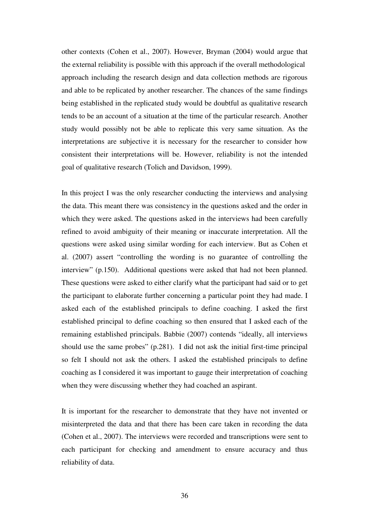other contexts (Cohen et al., 2007). However, Bryman (2004) would argue that the external reliability is possible with this approach if the overall methodological approach including the research design and data collection methods are rigorous and able to be replicated by another researcher. The chances of the same findings being established in the replicated study would be doubtful as qualitative research tends to be an account of a situation at the time of the particular research. Another study would possibly not be able to replicate this very same situation. As the interpretations are subjective it is necessary for the researcher to consider how consistent their interpretations will be. However, reliability is not the intended goal of qualitative research (Tolich and Davidson, 1999).

In this project I was the only researcher conducting the interviews and analysing the data. This meant there was consistency in the questions asked and the order in which they were asked. The questions asked in the interviews had been carefully refined to avoid ambiguity of their meaning or inaccurate interpretation. All the questions were asked using similar wording for each interview. But as Cohen et al. (2007) assert "controlling the wording is no guarantee of controlling the interview" (p.150). Additional questions were asked that had not been planned. These questions were asked to either clarify what the participant had said or to get the participant to elaborate further concerning a particular point they had made. I asked each of the established principals to define coaching. I asked the first established principal to define coaching so then ensured that I asked each of the remaining established principals. Babbie (2007) contends "ideally, all interviews should use the same probes" (p.281). I did not ask the initial first-time principal so felt I should not ask the others. I asked the established principals to define coaching as I considered it was important to gauge their interpretation of coaching when they were discussing whether they had coached an aspirant.

It is important for the researcher to demonstrate that they have not invented or misinterpreted the data and that there has been care taken in recording the data (Cohen et al., 2007). The interviews were recorded and transcriptions were sent to each participant for checking and amendment to ensure accuracy and thus reliability of data.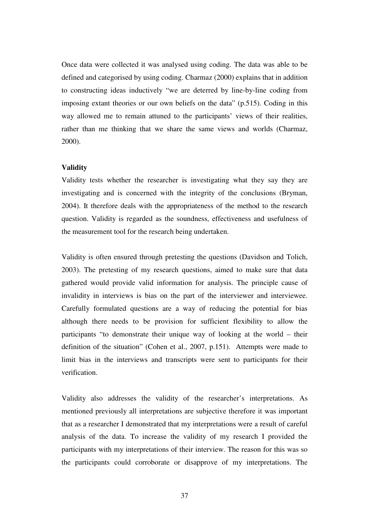Once data were collected it was analysed using coding. The data was able to be defined and categorised by using coding. Charmaz (2000) explains that in addition to constructing ideas inductively "we are deterred by line-by-line coding from imposing extant theories or our own beliefs on the data" (p.515). Coding in this way allowed me to remain attuned to the participants' views of their realities, rather than me thinking that we share the same views and worlds (Charmaz, 2000).

#### **Validity**

Validity tests whether the researcher is investigating what they say they are investigating and is concerned with the integrity of the conclusions (Bryman, 2004). It therefore deals with the appropriateness of the method to the research question. Validity is regarded as the soundness, effectiveness and usefulness of the measurement tool for the research being undertaken.

Validity is often ensured through pretesting the questions (Davidson and Tolich, 2003). The pretesting of my research questions, aimed to make sure that data gathered would provide valid information for analysis. The principle cause of invalidity in interviews is bias on the part of the interviewer and interviewee. Carefully formulated questions are a way of reducing the potential for bias although there needs to be provision for sufficient flexibility to allow the participants "to demonstrate their unique way of looking at the world – their definition of the situation" (Cohen et al., 2007, p.151). Attempts were made to limit bias in the interviews and transcripts were sent to participants for their verification.

Validity also addresses the validity of the researcher's interpretations. As mentioned previously all interpretations are subjective therefore it was important that as a researcher I demonstrated that my interpretations were a result of careful analysis of the data. To increase the validity of my research I provided the participants with my interpretations of their interview. The reason for this was so the participants could corroborate or disapprove of my interpretations. The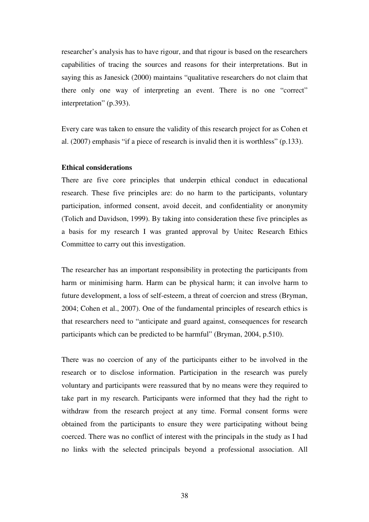researcher's analysis has to have rigour, and that rigour is based on the researchers capabilities of tracing the sources and reasons for their interpretations. But in saying this as Janesick (2000) maintains "qualitative researchers do not claim that there only one way of interpreting an event. There is no one "correct" interpretation" (p.393).

Every care was taken to ensure the validity of this research project for as Cohen et al. (2007) emphasis "if a piece of research is invalid then it is worthless" (p.133).

#### **Ethical considerations**

There are five core principles that underpin ethical conduct in educational research. These five principles are: do no harm to the participants, voluntary participation, informed consent, avoid deceit, and confidentiality or anonymity (Tolich and Davidson, 1999). By taking into consideration these five principles as a basis for my research I was granted approval by Unitec Research Ethics Committee to carry out this investigation.

The researcher has an important responsibility in protecting the participants from harm or minimising harm. Harm can be physical harm; it can involve harm to future development, a loss of self-esteem, a threat of coercion and stress (Bryman, 2004; Cohen et al., 2007). One of the fundamental principles of research ethics is that researchers need to "anticipate and guard against, consequences for research participants which can be predicted to be harmful" (Bryman, 2004, p.510).

There was no coercion of any of the participants either to be involved in the research or to disclose information. Participation in the research was purely voluntary and participants were reassured that by no means were they required to take part in my research. Participants were informed that they had the right to withdraw from the research project at any time. Formal consent forms were obtained from the participants to ensure they were participating without being coerced. There was no conflict of interest with the principals in the study as I had no links with the selected principals beyond a professional association. All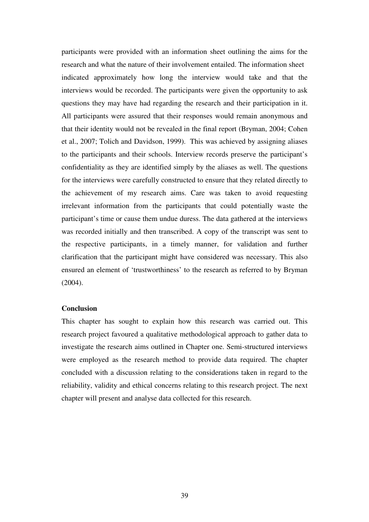participants were provided with an information sheet outlining the aims for the research and what the nature of their involvement entailed. The information sheet indicated approximately how long the interview would take and that the interviews would be recorded. The participants were given the opportunity to ask questions they may have had regarding the research and their participation in it. All participants were assured that their responses would remain anonymous and that their identity would not be revealed in the final report (Bryman, 2004; Cohen et al., 2007; Tolich and Davidson, 1999). This was achieved by assigning aliases to the participants and their schools. Interview records preserve the participant's confidentiality as they are identified simply by the aliases as well. The questions for the interviews were carefully constructed to ensure that they related directly to the achievement of my research aims. Care was taken to avoid requesting irrelevant information from the participants that could potentially waste the participant's time or cause them undue duress. The data gathered at the interviews was recorded initially and then transcribed. A copy of the transcript was sent to the respective participants, in a timely manner, for validation and further clarification that the participant might have considered was necessary. This also ensured an element of 'trustworthiness' to the research as referred to by Bryman (2004).

# **Conclusion**

This chapter has sought to explain how this research was carried out. This research project favoured a qualitative methodological approach to gather data to investigate the research aims outlined in Chapter one. Semi-structured interviews were employed as the research method to provide data required. The chapter concluded with a discussion relating to the considerations taken in regard to the reliability, validity and ethical concerns relating to this research project. The next chapter will present and analyse data collected for this research.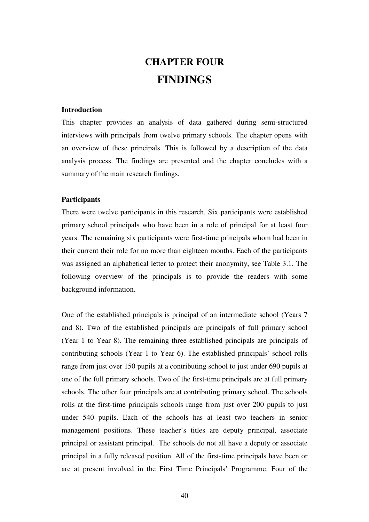# **CHAPTER FOUR FINDINGS**

#### **Introduction**

This chapter provides an analysis of data gathered during semi-structured interviews with principals from twelve primary schools. The chapter opens with an overview of these principals. This is followed by a description of the data analysis process. The findings are presented and the chapter concludes with a summary of the main research findings.

#### **Participants**

There were twelve participants in this research. Six participants were established primary school principals who have been in a role of principal for at least four years. The remaining six participants were first-time principals whom had been in their current their role for no more than eighteen months. Each of the participants was assigned an alphabetical letter to protect their anonymity, see Table 3.1. The following overview of the principals is to provide the readers with some background information.

One of the established principals is principal of an intermediate school (Years 7 and 8). Two of the established principals are principals of full primary school (Year 1 to Year 8). The remaining three established principals are principals of contributing schools (Year 1 to Year 6). The established principals' school rolls range from just over 150 pupils at a contributing school to just under 690 pupils at one of the full primary schools. Two of the first-time principals are at full primary schools. The other four principals are at contributing primary school. The schools rolls at the first-time principals schools range from just over 200 pupils to just under 540 pupils. Each of the schools has at least two teachers in senior management positions. These teacher's titles are deputy principal, associate principal or assistant principal. The schools do not all have a deputy or associate principal in a fully released position. All of the first-time principals have been or are at present involved in the First Time Principals' Programme. Four of the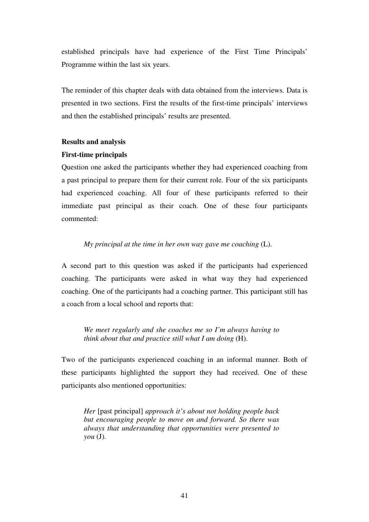established principals have had experience of the First Time Principals' Programme within the last six years.

The reminder of this chapter deals with data obtained from the interviews. Data is presented in two sections. First the results of the first-time principals' interviews and then the established principals' results are presented.

# **Results and analysis**

# **First-time principals**

Question one asked the participants whether they had experienced coaching from a past principal to prepare them for their current role. Four of the six participants had experienced coaching. All four of these participants referred to their immediate past principal as their coach. One of these four participants commented:

*My principal at the time in her own way gave me coaching* (L).

A second part to this question was asked if the participants had experienced coaching. The participants were asked in what way they had experienced coaching. One of the participants had a coaching partner. This participant still has a coach from a local school and reports that:

*We meet regularly and she coaches me so I'm always having to think about that and practice still what I am doing* (H).

Two of the participants experienced coaching in an informal manner. Both of these participants highlighted the support they had received. One of these participants also mentioned opportunities:

*Her* [past principal] *approach it's about not holding people back but encouraging people to move on and forward. So there was always that understanding that opportunities were presented to you* (J).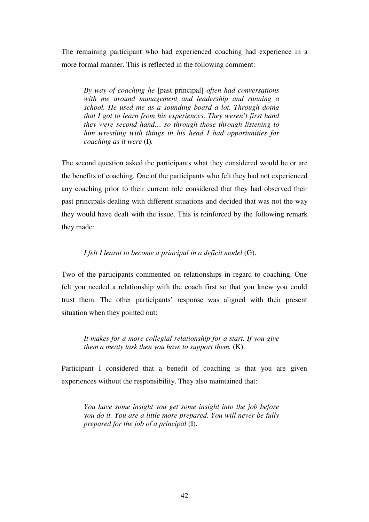The remaining participant who had experienced coaching had experience in a more formal manner. This is reflected in the following comment:

*By way of coaching he* [past principal] *often had conversations with me around management and leadership and running a school. He used me as a sounding board a lot. Through doing that I got to learn from his experiences. They weren't first hand they were second hand… so through those through listening to him wrestling with things in his head I had opportunities for coaching as it were* (I)*.*

The second question asked the participants what they considered would be or are the benefits of coaching. One of the participants who felt they had not experienced any coaching prior to their current role considered that they had observed their past principals dealing with different situations and decided that was not the way they would have dealt with the issue. This is reinforced by the following remark they made:

# *I felt I learnt to become a principal in a deficit model* (G).

Two of the participants commented on relationships in regard to coaching. One felt you needed a relationship with the coach first so that you knew you could trust them. The other participants' response was aligned with their present situation when they pointed out:

*It makes for a more collegial relationship for a start. If you give them a meaty task then you have to support them.* (K).

Participant I considered that a benefit of coaching is that you are given experiences without the responsibility. They also maintained that:

*You have some insight you get some insight into the job before you do it. You are a little more prepared. You will never be fully prepared for the job of a principal* (I).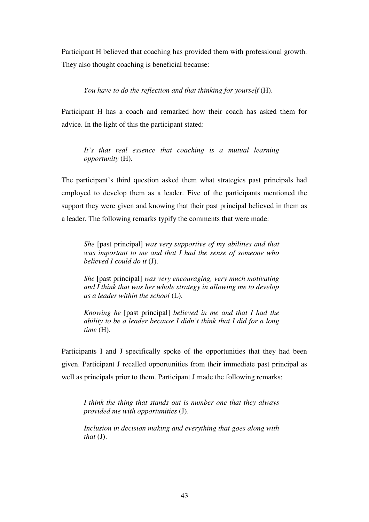Participant H believed that coaching has provided them with professional growth. They also thought coaching is beneficial because:

*You have to do the reflection and that thinking for yourself* (H).

Participant H has a coach and remarked how their coach has asked them for advice. In the light of this the participant stated:

 *It's that real essence that coaching is a mutual learning opportunity* (H).

The participant's third question asked them what strategies past principals had employed to develop them as a leader. Five of the participants mentioned the support they were given and knowing that their past principal believed in them as a leader. The following remarks typify the comments that were made:

*She* [past principal] *was very supportive of my abilities and that was important to me and that I had the sense of someone who believed I could do it* (J).

*She* [past principal] *was very encouraging, very much motivating and I think that was her whole strategy in allowing me to develop as a leader within the school* (L).

*Knowing he* [past principal] *believed in me and that I had the ability to be a leader because I didn't think that I did for a long time* (H).

Participants I and J specifically spoke of the opportunities that they had been given. Participant J recalled opportunities from their immediate past principal as well as principals prior to them. Participant J made the following remarks:

*I think the thing that stands out is number one that they always provided me with opportunities* (J).

*Inclusion in decision making and everything that goes along with that* (J).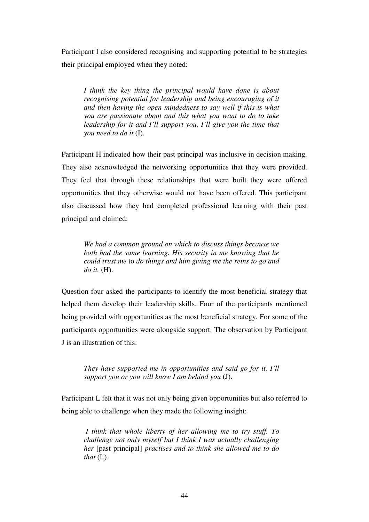Participant I also considered recognising and supporting potential to be strategies their principal employed when they noted:

*I think the key thing the principal would have done is about recognising potential for leadership and being encouraging of it and then having the open mindedness to say well if this is what you are passionate about and this what you want to do to take leadership for it and I'll support you. I'll give you the time that you need to do it* (I).

Participant H indicated how their past principal was inclusive in decision making. They also acknowledged the networking opportunities that they were provided. They feel that through these relationships that were built they were offered opportunities that they otherwise would not have been offered. This participant also discussed how they had completed professional learning with their past principal and claimed:

*We had a common ground on which to discuss things because we both had the same learning. His security in me knowing that he could trust me* to *do things and him giving me the reins to go and do it.* (H).

Question four asked the participants to identify the most beneficial strategy that helped them develop their leadership skills. Four of the participants mentioned being provided with opportunities as the most beneficial strategy. For some of the participants opportunities were alongside support. The observation by Participant J is an illustration of this:

*They have supported me in opportunities and said go for it. I'll support you or you will know I am behind you* (J).

Participant L felt that it was not only being given opportunities but also referred to being able to challenge when they made the following insight:

 *I think that whole liberty of her allowing me to try stuff. To challenge not only myself but I think I was actually challenging her* [past principal] *practises and to think she allowed me to do that* (L).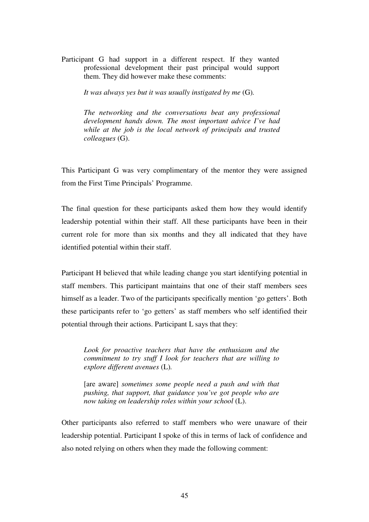Participant G had support in a different respect. If they wanted professional development their past principal would support them. They did however make these comments:

*It was always yes but it was usually instigated by me* (G)*.*

*The networking and the conversations beat any professional development hands down. The most important advice I've had while at the job is the local network of principals and trusted colleagues* (G).

This Participant G was very complimentary of the mentor they were assigned from the First Time Principals' Programme.

The final question for these participants asked them how they would identify leadership potential within their staff. All these participants have been in their current role for more than six months and they all indicated that they have identified potential within their staff.

Participant H believed that while leading change you start identifying potential in staff members. This participant maintains that one of their staff members sees himself as a leader. Two of the participants specifically mention 'go getters'. Both these participants refer to 'go getters' as staff members who self identified their potential through their actions. Participant L says that they:

*Look for proactive teachers that have the enthusiasm and the commitment to try stuff I look for teachers that are willing to explore different avenues* (L)*.*

 [are aware] *sometimes some people need a push and with that pushing, that support, that guidance you've got people who are now taking on leadership roles within your school* (L).

Other participants also referred to staff members who were unaware of their leadership potential. Participant I spoke of this in terms of lack of confidence and also noted relying on others when they made the following comment: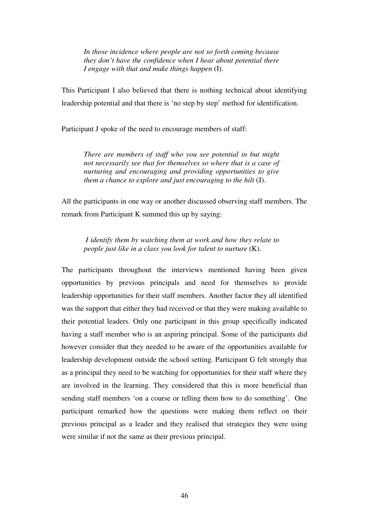*In those incidence where people are not so forth coming because they don't have the confidence when I hear about potential there I engage with that and make things happen* (I).

This Participant I also believed that there is nothing technical about identifying leadership potential and that there is 'no step by step' method for identification.

Participant J spoke of the need to encourage members of staff:

*There are members of staff who you see potential in but might not necessarily see that for themselves so where that is a case of nurturing and encouraging and providing opportunities to give them a chance to explore and just encouraging to the hilt (J).* 

All the participants in one way or another discussed observing staff members. The remark from Participant K summed this up by saying:

 *I identify them by watching them at work and how they relate to people just like in a class you look for talent to nurture* (K).

The participants throughout the interviews mentioned having been given opportunities by previous principals and need for themselves to provide leadership opportunities for their staff members. Another factor they all identified was the support that either they had received or that they were making available to their potential leaders. Only one participant in this group specifically indicated having a staff member who is an aspiring principal. Some of the participants did however consider that they needed to be aware of the opportunities available for leadership development outside the school setting. Participant G felt strongly that as a principal they need to be watching for opportunities for their staff where they are involved in the learning. They considered that this is more beneficial than sending staff members 'on a course or telling them how to do something'. One participant remarked how the questions were making them reflect on their previous principal as a leader and they realised that strategies they were using were similar if not the same as their previous principal.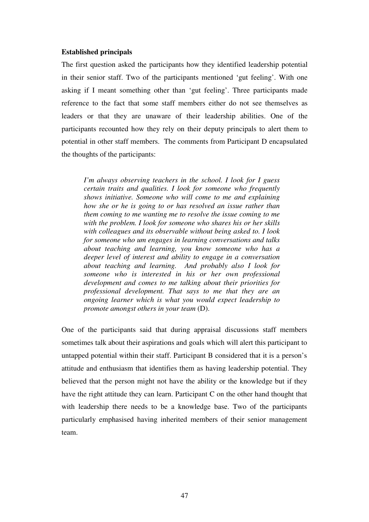#### **Established principals**

The first question asked the participants how they identified leadership potential in their senior staff. Two of the participants mentioned 'gut feeling'. With one asking if I meant something other than 'gut feeling'. Three participants made reference to the fact that some staff members either do not see themselves as leaders or that they are unaware of their leadership abilities. One of the participants recounted how they rely on their deputy principals to alert them to potential in other staff members. The comments from Participant D encapsulated the thoughts of the participants:

*I'm always observing teachers in the school. I look for I guess certain traits and qualities. I look for someone who frequently shows initiative. Someone who will come to me and explaining how she or he is going to or has resolved an issue rather than them coming to me wanting me to resolve the issue coming to me with the problem. I look for someone who shares his or her skills with colleagues and its observable without being asked to. I look for someone who um engages in learning conversations and talks about teaching and learning, you know someone who has a deeper level of interest and ability to engage in a conversation about teaching and learning. And probably also I look for someone who is interested in his or her own professional development and comes to me talking about their priorities for professional development. That says to me that they are an ongoing learner which is what you would expect leadership to promote amongst others in your team* (D).

One of the participants said that during appraisal discussions staff members sometimes talk about their aspirations and goals which will alert this participant to untapped potential within their staff. Participant B considered that it is a person's attitude and enthusiasm that identifies them as having leadership potential. They believed that the person might not have the ability or the knowledge but if they have the right attitude they can learn. Participant C on the other hand thought that with leadership there needs to be a knowledge base. Two of the participants particularly emphasised having inherited members of their senior management team.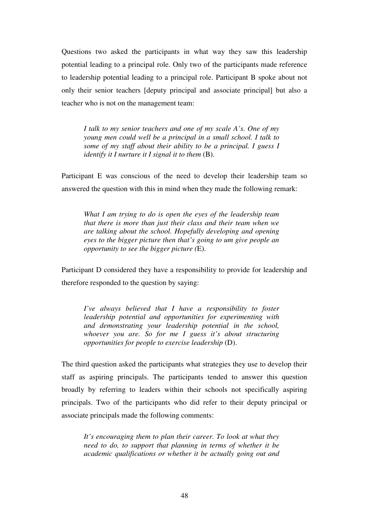Questions two asked the participants in what way they saw this leadership potential leading to a principal role. Only two of the participants made reference to leadership potential leading to a principal role. Participant B spoke about not only their senior teachers [deputy principal and associate principal] but also a teacher who is not on the management team:

 *I talk to my senior teachers and one of my scale A's. One of my young men could well be a principal in a small school. I talk to some of my staff about their ability to be a principal. I guess I identify it I nurture it I signal it to them (B).* 

Participant E was conscious of the need to develop their leadership team so answered the question with this in mind when they made the following remark:

*What I am trying to do is open the eyes of the leadership team that there is more than just their class and their team when we are talking about the school. Hopefully developing and opening eyes to the bigger picture then that's going to um give people an opportunity to see the bigger picture (*E).

Participant D considered they have a responsibility to provide for leadership and therefore responded to the question by saying:

*I've always believed that I have a responsibility to foster leadership potential and opportunities for experimenting with and demonstrating your leadership potential in the school, whoever you are. So for me I guess it's about structuring opportunities for people to exercise leadership* (D).

The third question asked the participants what strategies they use to develop their staff as aspiring principals. The participants tended to answer this question broadly by referring to leaders within their schools not specifically aspiring principals. Two of the participants who did refer to their deputy principal or associate principals made the following comments:

*It's encouraging them to plan their career. To look at what they need to do, to support that planning in terms of whether it be academic qualifications or whether it be actually going out and*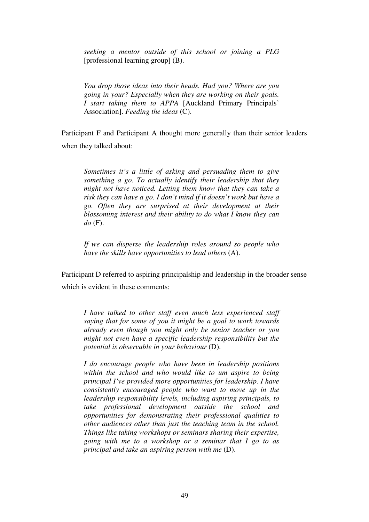*seeking a mentor outside of this school or joining a PLG*  [professional learning group] (B).

*You drop those ideas into their heads. Had you? Where are you going in your? Especially when they are working on their goals. I start taking them to APPA* [Auckland Primary Principals' Association]. *Feeding the ideas* (C).

Participant F and Participant A thought more generally than their senior leaders when they talked about:

*Sometimes it's a little of asking and persuading them to give something a go. To actually identify their leadership that they might not have noticed. Letting them know that they can take a risk they can have a go. I don't mind if it doesn't work but have a go. Often they are surprised at their development at their blossoming interest and their ability to do what I know they can do* (F).

*If we can disperse the leadership roles around so people who have the skills have opportunities to lead others* (A).

Participant D referred to aspiring principalship and leadership in the broader sense which is evident in these comments:

*I have talked to other staff even much less experienced staff saying that for some of you it might be a goal to work towards already even though you might only be senior teacher or you might not even have a specific leadership responsibility but the potential is observable in your behaviour* (D).

 *I do encourage people who have been in leadership positions within the school and who would like to um aspire to being principal I've provided more opportunities for leadership. I have consistently encouraged people who want to move up in the leadership responsibility levels, including aspiring principals, to take professional development outside the school and opportunities for demonstrating their professional qualities to other audiences other than just the teaching team in the school. Things like taking workshops or seminars sharing their expertise, going with me to a workshop or a seminar that I go to as principal and take an aspiring person with me* (D).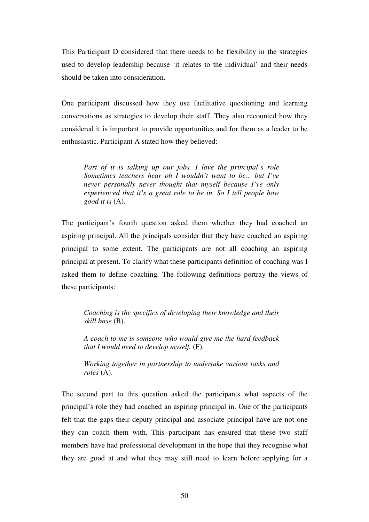This Participant D considered that there needs to be flexibility in the strategies used to develop leadership because 'it relates to the individual' and their needs should be taken into consideration.

One participant discussed how they use facilitative questioning and learning conversations as strategies to develop their staff. They also recounted how they considered it is important to provide opportunities and for them as a leader to be enthusiastic. Participant A stated how they believed:

*Part of it is talking up our jobs. I love the principal's role Sometimes teachers hear oh I wouldn't want to be... but I've never personally never thought that myself because I've only experienced that it's a great role to be in. So I tell people how good it is* (A).

The participant's fourth question asked them whether they had coached an aspiring principal. All the principals consider that they have coached an aspiring principal to some extent. The participants are not all coaching an aspiring principal at present. To clarify what these participants definition of coaching was I asked them to define coaching. The following definitions portray the views of these participants:

*Coaching is the specifics of developing their knowledge and their skill base* (B).

 *A coach to me is someone who would give me the hard feedback that I would need to develop myself.* (F).

*Working together in partnership to undertake various tasks and roles* (A).

The second part to this question asked the participants what aspects of the principal's role they had coached an aspiring principal in. One of the participants felt that the gaps their deputy principal and associate principal have are not one they can coach them with. This participant has ensured that these two staff members have had professional development in the hope that they recognise what they are good at and what they may still need to learn before applying for a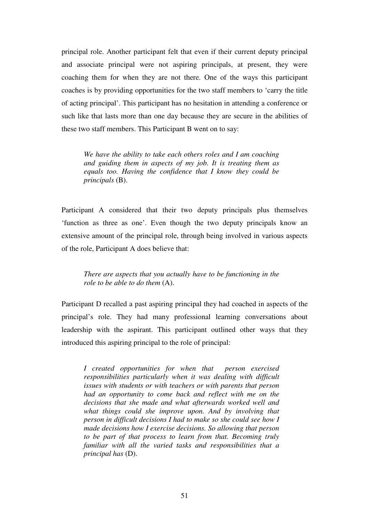principal role. Another participant felt that even if their current deputy principal and associate principal were not aspiring principals, at present, they were coaching them for when they are not there. One of the ways this participant coaches is by providing opportunities for the two staff members to 'carry the title of acting principal'. This participant has no hesitation in attending a conference or such like that lasts more than one day because they are secure in the abilities of these two staff members. This Participant B went on to say:

 *We have the ability to take each others roles and I am coaching and guiding them in aspects of my job. It is treating them as equals too. Having the confidence that I know they could be principals* (B).

Participant A considered that their two deputy principals plus themselves 'function as three as one'. Even though the two deputy principals know an extensive amount of the principal role, through being involved in various aspects of the role, Participant A does believe that:

# *There are aspects that you actually have to be functioning in the role to be able to do them* (A).

Participant D recalled a past aspiring principal they had coached in aspects of the principal's role. They had many professional learning conversations about leadership with the aspirant. This participant outlined other ways that they introduced this aspiring principal to the role of principal:

*I created opportunities for when that person exercised responsibilities particularly when it was dealing with difficult issues with students or with teachers or with parents that person had an opportunity to come back and reflect with me on the decisions that she made and what afterwards worked well and what things could she improve upon. And by involving that person in difficult decisions I had to make so she could see how I made decisions how I exercise decisions. So allowing that person to be part of that process to learn from that. Becoming truly familiar with all the varied tasks and responsibilities that a principal has* (D).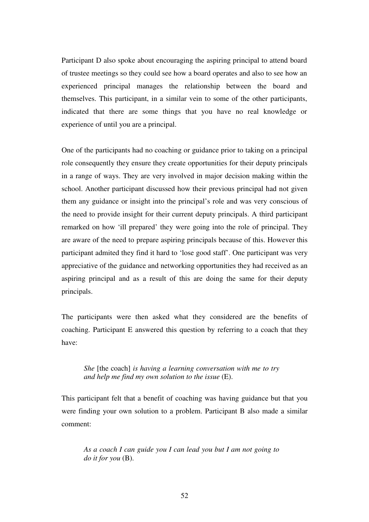Participant D also spoke about encouraging the aspiring principal to attend board of trustee meetings so they could see how a board operates and also to see how an experienced principal manages the relationship between the board and themselves. This participant, in a similar vein to some of the other participants, indicated that there are some things that you have no real knowledge or experience of until you are a principal.

One of the participants had no coaching or guidance prior to taking on a principal role consequently they ensure they create opportunities for their deputy principals in a range of ways. They are very involved in major decision making within the school. Another participant discussed how their previous principal had not given them any guidance or insight into the principal's role and was very conscious of the need to provide insight for their current deputy principals. A third participant remarked on how 'ill prepared' they were going into the role of principal. They are aware of the need to prepare aspiring principals because of this. However this participant admited they find it hard to 'lose good staff'. One participant was very appreciative of the guidance and networking opportunities they had received as an aspiring principal and as a result of this are doing the same for their deputy principals.

The participants were then asked what they considered are the benefits of coaching. Participant E answered this question by referring to a coach that they have:

# *She* [the coach] *is having a learning conversation with me to try and help me find my own solution to the issue* (E).

This participant felt that a benefit of coaching was having guidance but that you were finding your own solution to a problem. Participant B also made a similar comment:

*As a coach I can guide you I can lead you but I am not going to do it for you* (B).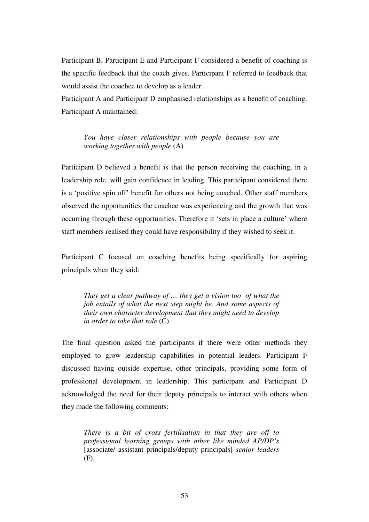Participant B, Participant E and Participant F considered a benefit of coaching is the specific feedback that the coach gives. Participant F referred to feedback that would assist the coachee to develop as a leader.

Participant A and Participant D emphasised relationships as a benefit of coaching. Participant A maintained:

*You have closer relationships with people because you are working together with people* (A)

Participant D believed a benefit is that the person receiving the coaching, in a leadership role, will gain confidence in leading. This participant considered there is a 'positive spin off' benefit for others not being coached. Other staff members observed the opportunities the coachee was experiencing and the growth that was occurring through these opportunities. Therefore it 'sets in place a culture' where staff members realised they could have responsibility if they wished to seek it.

Participant C focused on coaching benefits being specifically for aspiring principals when they said:

*They get a clear pathway of … they get a vision too of what the job entails of what the next step might be. And some aspects of their own character development that they might need to develop in order to take that role* (C).

The final question asked the participants if there were other methods they employed to grow leadership capabilities in potential leaders. Participant F discussed having outside expertise, other principals, providing some form of professional development in leadership. This participant and Participant D acknowledged the need for their deputy principals to interact with others when they made the following comments:

*There is a bit of cross fertilisation in that they are off to professional learning groups with other like minded AP/DP's*  [associate/ assistant principals/deputy principals] *senior leaders* (F).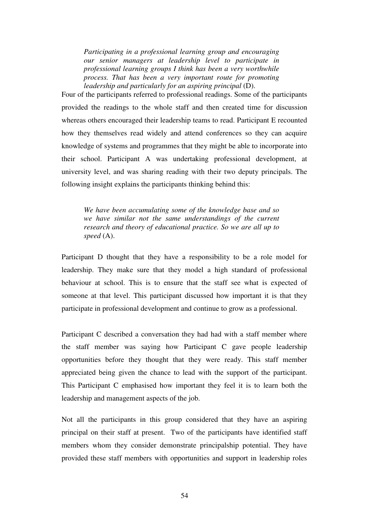*Participating in a professional learning group and encouraging our senior managers at leadership level to participate in professional learning groups I think has been a very worthwhile process. That has been a very important route for promoting leadership and particularly for an aspiring principal* (D).

Four of the participants referred to professional readings. Some of the participants provided the readings to the whole staff and then created time for discussion whereas others encouraged their leadership teams to read. Participant E recounted how they themselves read widely and attend conferences so they can acquire knowledge of systems and programmes that they might be able to incorporate into their school. Participant A was undertaking professional development, at university level, and was sharing reading with their two deputy principals. The following insight explains the participants thinking behind this:

*We have been accumulating some of the knowledge base and so we have similar not the same understandings of the current research and theory of educational practice. So we are all up to speed* (A).

Participant D thought that they have a responsibility to be a role model for leadership. They make sure that they model a high standard of professional behaviour at school. This is to ensure that the staff see what is expected of someone at that level. This participant discussed how important it is that they participate in professional development and continue to grow as a professional.

Participant C described a conversation they had had with a staff member where the staff member was saying how Participant C gave people leadership opportunities before they thought that they were ready. This staff member appreciated being given the chance to lead with the support of the participant. This Participant C emphasised how important they feel it is to learn both the leadership and management aspects of the job.

Not all the participants in this group considered that they have an aspiring principal on their staff at present. Two of the participants have identified staff members whom they consider demonstrate principalship potential. They have provided these staff members with opportunities and support in leadership roles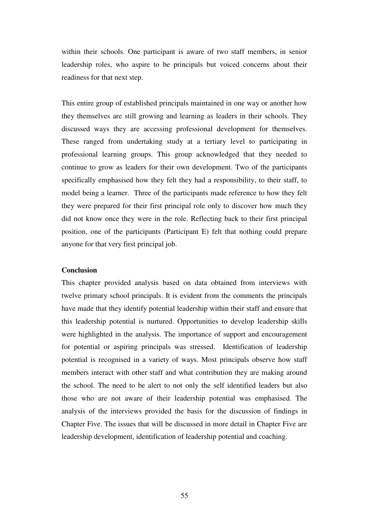within their schools. One participant is aware of two staff members, in senior leadership roles, who aspire to be principals but voiced concerns about their readiness for that next step.

This entire group of established principals maintained in one way or another how they themselves are still growing and learning as leaders in their schools. They discussed ways they are accessing professional development for themselves. These ranged from undertaking study at a tertiary level to participating in professional learning groups. This group acknowledged that they needed to continue to grow as leaders for their own development. Two of the participants specifically emphasised how they felt they had a responsibility, to their staff, to model being a learner. Three of the participants made reference to how they felt they were prepared for their first principal role only to discover how much they did not know once they were in the role. Reflecting back to their first principal position, one of the participants (Participant E) felt that nothing could prepare anyone for that very first principal job.

#### **Conclusion**

This chapter provided analysis based on data obtained from interviews with twelve primary school principals. It is evident from the comments the principals have made that they identify potential leadership within their staff and ensure that this leadership potential is nurtured. Opportunities to develop leadership skills were highlighted in the analysis. The importance of support and encouragement for potential or aspiring principals was stressed. Identification of leadership potential is recognised in a variety of ways. Most principals observe how staff members interact with other staff and what contribution they are making around the school. The need to be alert to not only the self identified leaders but also those who are not aware of their leadership potential was emphasised. The analysis of the interviews provided the basis for the discussion of findings in Chapter Five. The issues that will be discussed in more detail in Chapter Five are leadership development, identification of leadership potential and coaching.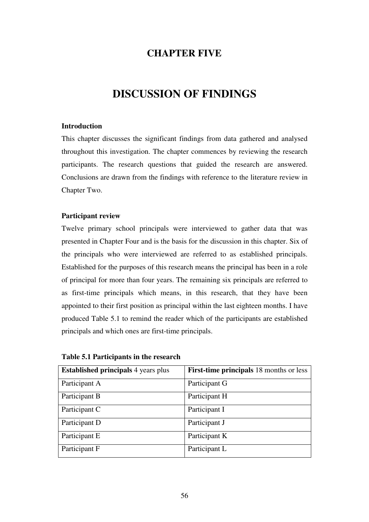# **CHAPTER FIVE**

# **DISCUSSION OF FINDINGS**

# **Introduction**

This chapter discusses the significant findings from data gathered and analysed throughout this investigation. The chapter commences by reviewing the research participants. The research questions that guided the research are answered. Conclusions are drawn from the findings with reference to the literature review in Chapter Two.

# **Participant review**

Twelve primary school principals were interviewed to gather data that was presented in Chapter Four and is the basis for the discussion in this chapter. Six of the principals who were interviewed are referred to as established principals. Established for the purposes of this research means the principal has been in a role of principal for more than four years. The remaining six principals are referred to as first-time principals which means, in this research, that they have been appointed to their first position as principal within the last eighteen months. I have produced Table 5.1 to remind the reader which of the participants are established principals and which ones are first-time principals.

| <b>Established principals</b> 4 years plus | <b>First-time principals</b> 18 months or less |
|--------------------------------------------|------------------------------------------------|
| Participant A                              | Participant G                                  |
| Participant B                              | Participant H                                  |
| Participant C                              | Participant I                                  |
| Participant D                              | Participant J                                  |
| Participant E                              | Participant K                                  |
| Participant F                              | Participant L                                  |

**Table 5.1 Participants in the research**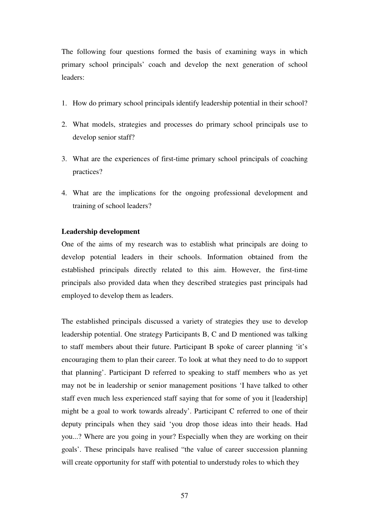The following four questions formed the basis of examining ways in which primary school principals' coach and develop the next generation of school leaders:

- 1. How do primary school principals identify leadership potential in their school?
- 2. What models, strategies and processes do primary school principals use to develop senior staff?
- 3. What are the experiences of first-time primary school principals of coaching practices?
- 4. What are the implications for the ongoing professional development and training of school leaders?

# **Leadership development**

One of the aims of my research was to establish what principals are doing to develop potential leaders in their schools. Information obtained from the established principals directly related to this aim. However, the first-time principals also provided data when they described strategies past principals had employed to develop them as leaders.

The established principals discussed a variety of strategies they use to develop leadership potential. One strategy Participants B, C and D mentioned was talking to staff members about their future. Participant B spoke of career planning 'it's encouraging them to plan their career. To look at what they need to do to support that planning'. Participant D referred to speaking to staff members who as yet may not be in leadership or senior management positions 'I have talked to other staff even much less experienced staff saying that for some of you it [leadership] might be a goal to work towards already'. Participant C referred to one of their deputy principals when they said 'you drop those ideas into their heads. Had you...? Where are you going in your? Especially when they are working on their goals'. These principals have realised "the value of career succession planning will create opportunity for staff with potential to understudy roles to which they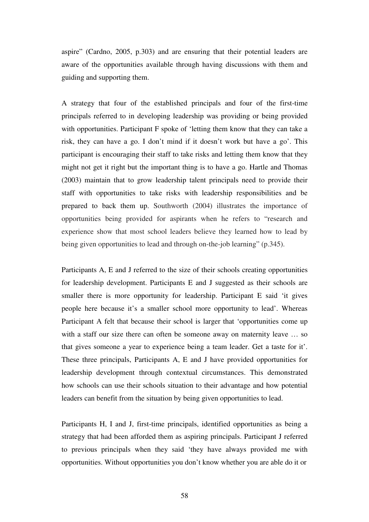aspire" (Cardno, 2005, p.303) and are ensuring that their potential leaders are aware of the opportunities available through having discussions with them and guiding and supporting them.

A strategy that four of the established principals and four of the first-time principals referred to in developing leadership was providing or being provided with opportunities. Participant F spoke of 'letting them know that they can take a risk, they can have a go. I don't mind if it doesn't work but have a go'. This participant is encouraging their staff to take risks and letting them know that they might not get it right but the important thing is to have a go. Hartle and Thomas (2003) maintain that to grow leadership talent principals need to provide their staff with opportunities to take risks with leadership responsibilities and be prepared to back them up. Southworth (2004) illustrates the importance of opportunities being provided for aspirants when he refers to "research and experience show that most school leaders believe they learned how to lead by being given opportunities to lead and through on-the-job learning" (p.345).

Participants A, E and J referred to the size of their schools creating opportunities for leadership development. Participants E and J suggested as their schools are smaller there is more opportunity for leadership. Participant E said 'it gives people here because it's a smaller school more opportunity to lead'. Whereas Participant A felt that because their school is larger that 'opportunities come up with a staff our size there can often be someone away on maternity leave ... so that gives someone a year to experience being a team leader. Get a taste for it'. These three principals, Participants A, E and J have provided opportunities for leadership development through contextual circumstances. This demonstrated how schools can use their schools situation to their advantage and how potential leaders can benefit from the situation by being given opportunities to lead.

Participants H, I and J, first-time principals, identified opportunities as being a strategy that had been afforded them as aspiring principals. Participant J referred to previous principals when they said 'they have always provided me with opportunities. Without opportunities you don't know whether you are able do it or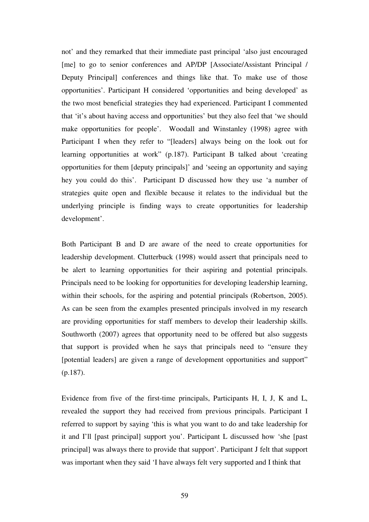not' and they remarked that their immediate past principal 'also just encouraged [me] to go to senior conferences and AP/DP [Associate/Assistant Principal / Deputy Principal] conferences and things like that. To make use of those opportunities'. Participant H considered 'opportunities and being developed' as the two most beneficial strategies they had experienced. Participant I commented that 'it's about having access and opportunities' but they also feel that 'we should make opportunities for people'. Woodall and Winstanley (1998) agree with Participant I when they refer to "[leaders] always being on the look out for learning opportunities at work" (p.187). Participant B talked about 'creating opportunities for them [deputy principals]' and 'seeing an opportunity and saying hey you could do this'. Participant D discussed how they use 'a number of strategies quite open and flexible because it relates to the individual but the underlying principle is finding ways to create opportunities for leadership development'.

Both Participant B and D are aware of the need to create opportunities for leadership development. Clutterbuck (1998) would assert that principals need to be alert to learning opportunities for their aspiring and potential principals. Principals need to be looking for opportunities for developing leadership learning, within their schools, for the aspiring and potential principals (Robertson, 2005). As can be seen from the examples presented principals involved in my research are providing opportunities for staff members to develop their leadership skills. Southworth (2007) agrees that opportunity need to be offered but also suggests that support is provided when he says that principals need to "ensure they [potential leaders] are given a range of development opportunities and support" (p.187).

Evidence from five of the first-time principals, Participants H, I, J, K and L, revealed the support they had received from previous principals. Participant I referred to support by saying 'this is what you want to do and take leadership for it and I'll [past principal] support you'. Participant L discussed how 'she [past principal] was always there to provide that support'. Participant J felt that support was important when they said 'I have always felt very supported and I think that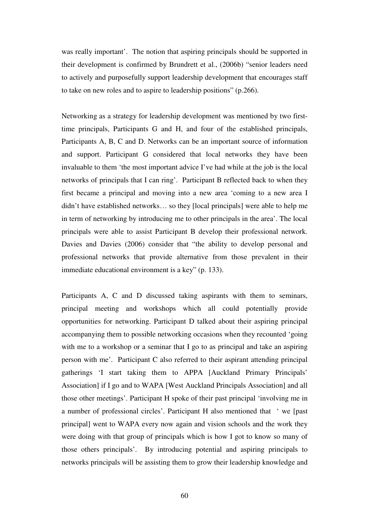was really important'. The notion that aspiring principals should be supported in their development is confirmed by Brundrett et al., (2006b) "senior leaders need to actively and purposefully support leadership development that encourages staff to take on new roles and to aspire to leadership positions" (p.266).

Networking as a strategy for leadership development was mentioned by two firsttime principals, Participants G and H, and four of the established principals, Participants A, B, C and D. Networks can be an important source of information and support. Participant G considered that local networks they have been invaluable to them 'the most important advice I've had while at the job is the local networks of principals that I can ring'. Participant B reflected back to when they first became a principal and moving into a new area 'coming to a new area I didn't have established networks… so they [local principals] were able to help me in term of networking by introducing me to other principals in the area'. The local principals were able to assist Participant B develop their professional network. Davies and Davies (2006) consider that "the ability to develop personal and professional networks that provide alternative from those prevalent in their immediate educational environment is a key" (p. 133).

Participants A, C and D discussed taking aspirants with them to seminars, principal meeting and workshops which all could potentially provide opportunities for networking. Participant D talked about their aspiring principal accompanying them to possible networking occasions when they recounted 'going with me to a workshop or a seminar that I go to as principal and take an aspiring person with me'. Participant C also referred to their aspirant attending principal gatherings 'I start taking them to APPA [Auckland Primary Principals' Association] if I go and to WAPA [West Auckland Principals Association] and all those other meetings'. Participant H spoke of their past principal 'involving me in a number of professional circles'. Participant H also mentioned that ' we [past principal] went to WAPA every now again and vision schools and the work they were doing with that group of principals which is how I got to know so many of those others principals'. By introducing potential and aspiring principals to networks principals will be assisting them to grow their leadership knowledge and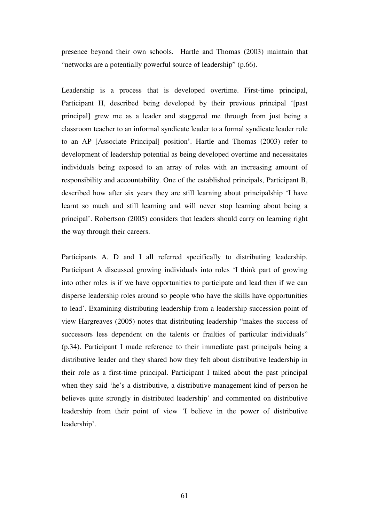presence beyond their own schools. Hartle and Thomas (2003) maintain that "networks are a potentially powerful source of leadership" (p.66).

Leadership is a process that is developed overtime. First-time principal, Participant H, described being developed by their previous principal '[past] principal] grew me as a leader and staggered me through from just being a classroom teacher to an informal syndicate leader to a formal syndicate leader role to an AP [Associate Principal] position'. Hartle and Thomas (2003) refer to development of leadership potential as being developed overtime and necessitates individuals being exposed to an array of roles with an increasing amount of responsibility and accountability. One of the established principals, Participant B, described how after six years they are still learning about principalship 'I have learnt so much and still learning and will never stop learning about being a principal'. Robertson (2005) considers that leaders should carry on learning right the way through their careers.

Participants A, D and I all referred specifically to distributing leadership. Participant A discussed growing individuals into roles 'I think part of growing into other roles is if we have opportunities to participate and lead then if we can disperse leadership roles around so people who have the skills have opportunities to lead'. Examining distributing leadership from a leadership succession point of view Hargreaves (2005) notes that distributing leadership "makes the success of successors less dependent on the talents or frailties of particular individuals" (p.34). Participant I made reference to their immediate past principals being a distributive leader and they shared how they felt about distributive leadership in their role as a first-time principal. Participant I talked about the past principal when they said 'he's a distributive, a distributive management kind of person he believes quite strongly in distributed leadership' and commented on distributive leadership from their point of view 'I believe in the power of distributive leadership'.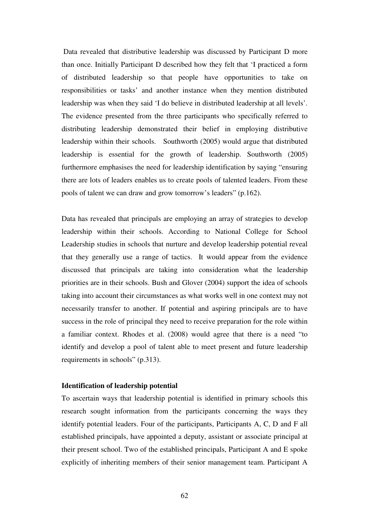Data revealed that distributive leadership was discussed by Participant D more than once. Initially Participant D described how they felt that 'I practiced a form of distributed leadership so that people have opportunities to take on responsibilities or tasks' and another instance when they mention distributed leadership was when they said 'I do believe in distributed leadership at all levels'. The evidence presented from the three participants who specifically referred to distributing leadership demonstrated their belief in employing distributive leadership within their schools. Southworth (2005) would argue that distributed leadership is essential for the growth of leadership. Southworth (2005) furthermore emphasises the need for leadership identification by saying "ensuring there are lots of leaders enables us to create pools of talented leaders. From these pools of talent we can draw and grow tomorrow's leaders" (p.162).

Data has revealed that principals are employing an array of strategies to develop leadership within their schools. According to National College for School Leadership studies in schools that nurture and develop leadership potential reveal that they generally use a range of tactics. It would appear from the evidence discussed that principals are taking into consideration what the leadership priorities are in their schools. Bush and Glover (2004) support the idea of schools taking into account their circumstances as what works well in one context may not necessarily transfer to another. If potential and aspiring principals are to have success in the role of principal they need to receive preparation for the role within a familiar context. Rhodes et al. (2008) would agree that there is a need "to identify and develop a pool of talent able to meet present and future leadership requirements in schools" (p.313).

#### **Identification of leadership potential**

To ascertain ways that leadership potential is identified in primary schools this research sought information from the participants concerning the ways they identify potential leaders. Four of the participants, Participants A, C, D and F all established principals, have appointed a deputy, assistant or associate principal at their present school. Two of the established principals, Participant A and E spoke explicitly of inheriting members of their senior management team. Participant A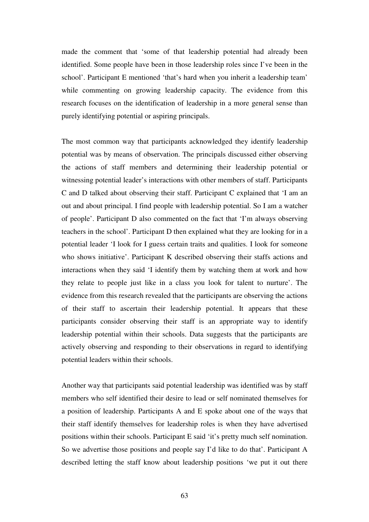made the comment that 'some of that leadership potential had already been identified. Some people have been in those leadership roles since I've been in the school'. Participant E mentioned 'that's hard when you inherit a leadership team' while commenting on growing leadership capacity. The evidence from this research focuses on the identification of leadership in a more general sense than purely identifying potential or aspiring principals.

The most common way that participants acknowledged they identify leadership potential was by means of observation. The principals discussed either observing the actions of staff members and determining their leadership potential or witnessing potential leader's interactions with other members of staff. Participants C and D talked about observing their staff. Participant C explained that 'I am an out and about principal. I find people with leadership potential. So I am a watcher of people'. Participant D also commented on the fact that 'I'm always observing teachers in the school'. Participant D then explained what they are looking for in a potential leader 'I look for I guess certain traits and qualities. I look for someone who shows initiative'. Participant K described observing their staffs actions and interactions when they said 'I identify them by watching them at work and how they relate to people just like in a class you look for talent to nurture'. The evidence from this research revealed that the participants are observing the actions of their staff to ascertain their leadership potential. It appears that these participants consider observing their staff is an appropriate way to identify leadership potential within their schools. Data suggests that the participants are actively observing and responding to their observations in regard to identifying potential leaders within their schools.

Another way that participants said potential leadership was identified was by staff members who self identified their desire to lead or self nominated themselves for a position of leadership. Participants A and E spoke about one of the ways that their staff identify themselves for leadership roles is when they have advertised positions within their schools. Participant E said 'it's pretty much self nomination. So we advertise those positions and people say I'd like to do that'. Participant A described letting the staff know about leadership positions 'we put it out there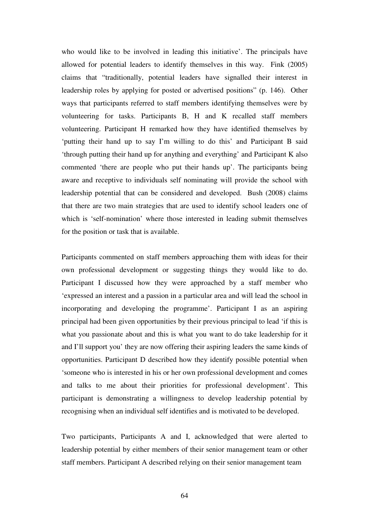who would like to be involved in leading this initiative'. The principals have allowed for potential leaders to identify themselves in this way. Fink (2005) claims that "traditionally, potential leaders have signalled their interest in leadership roles by applying for posted or advertised positions" (p. 146). Other ways that participants referred to staff members identifying themselves were by volunteering for tasks. Participants B, H and K recalled staff members volunteering. Participant H remarked how they have identified themselves by 'putting their hand up to say I'm willing to do this' and Participant B said 'through putting their hand up for anything and everything' and Participant K also commented 'there are people who put their hands up'. The participants being aware and receptive to individuals self nominating will provide the school with leadership potential that can be considered and developed. Bush (2008) claims that there are two main strategies that are used to identify school leaders one of which is 'self-nomination' where those interested in leading submit themselves for the position or task that is available.

Participants commented on staff members approaching them with ideas for their own professional development or suggesting things they would like to do. Participant I discussed how they were approached by a staff member who 'expressed an interest and a passion in a particular area and will lead the school in incorporating and developing the programme'. Participant I as an aspiring principal had been given opportunities by their previous principal to lead 'if this is what you passionate about and this is what you want to do take leadership for it and I'll support you' they are now offering their aspiring leaders the same kinds of opportunities. Participant D described how they identify possible potential when 'someone who is interested in his or her own professional development and comes and talks to me about their priorities for professional development'. This participant is demonstrating a willingness to develop leadership potential by recognising when an individual self identifies and is motivated to be developed.

Two participants, Participants A and I, acknowledged that were alerted to leadership potential by either members of their senior management team or other staff members. Participant A described relying on their senior management team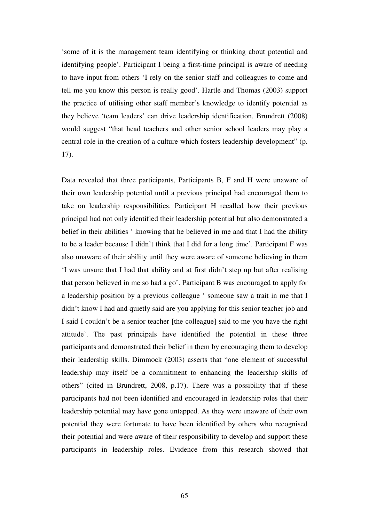'some of it is the management team identifying or thinking about potential and identifying people'. Participant I being a first-time principal is aware of needing to have input from others 'I rely on the senior staff and colleagues to come and tell me you know this person is really good'. Hartle and Thomas (2003) support the practice of utilising other staff member's knowledge to identify potential as they believe 'team leaders' can drive leadership identification. Brundrett (2008) would suggest "that head teachers and other senior school leaders may play a central role in the creation of a culture which fosters leadership development" (p. 17).

Data revealed that three participants, Participants B, F and H were unaware of their own leadership potential until a previous principal had encouraged them to take on leadership responsibilities. Participant H recalled how their previous principal had not only identified their leadership potential but also demonstrated a belief in their abilities ' knowing that he believed in me and that I had the ability to be a leader because I didn't think that I did for a long time'. Participant F was also unaware of their ability until they were aware of someone believing in them 'I was unsure that I had that ability and at first didn't step up but after realising that person believed in me so had a go'. Participant B was encouraged to apply for a leadership position by a previous colleague ' someone saw a trait in me that I didn't know I had and quietly said are you applying for this senior teacher job and I said I couldn't be a senior teacher [the colleague] said to me you have the right attitude'. The past principals have identified the potential in these three participants and demonstrated their belief in them by encouraging them to develop their leadership skills. Dimmock (2003) asserts that "one element of successful leadership may itself be a commitment to enhancing the leadership skills of others" (cited in Brundrett, 2008, p.17). There was a possibility that if these participants had not been identified and encouraged in leadership roles that their leadership potential may have gone untapped. As they were unaware of their own potential they were fortunate to have been identified by others who recognised their potential and were aware of their responsibility to develop and support these participants in leadership roles. Evidence from this research showed that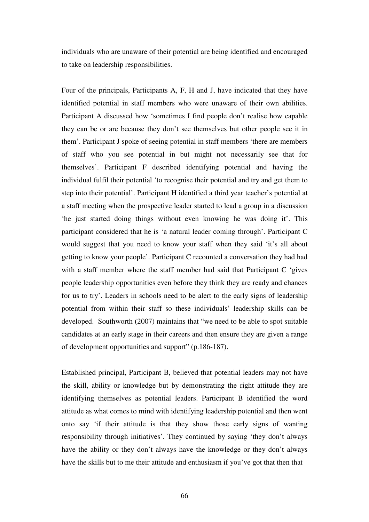individuals who are unaware of their potential are being identified and encouraged to take on leadership responsibilities.

Four of the principals, Participants A, F, H and J, have indicated that they have identified potential in staff members who were unaware of their own abilities. Participant A discussed how 'sometimes I find people don't realise how capable they can be or are because they don't see themselves but other people see it in them'. Participant J spoke of seeing potential in staff members 'there are members of staff who you see potential in but might not necessarily see that for themselves'. Participant F described identifying potential and having the individual fulfil their potential 'to recognise their potential and try and get them to step into their potential'. Participant H identified a third year teacher's potential at a staff meeting when the prospective leader started to lead a group in a discussion 'he just started doing things without even knowing he was doing it'. This participant considered that he is 'a natural leader coming through'. Participant C would suggest that you need to know your staff when they said 'it's all about getting to know your people'. Participant C recounted a conversation they had had with a staff member where the staff member had said that Participant C 'gives people leadership opportunities even before they think they are ready and chances for us to try'. Leaders in schools need to be alert to the early signs of leadership potential from within their staff so these individuals' leadership skills can be developed. Southworth (2007) maintains that "we need to be able to spot suitable candidates at an early stage in their careers and then ensure they are given a range of development opportunities and support" (p.186-187).

Established principal, Participant B, believed that potential leaders may not have the skill, ability or knowledge but by demonstrating the right attitude they are identifying themselves as potential leaders. Participant B identified the word attitude as what comes to mind with identifying leadership potential and then went onto say 'if their attitude is that they show those early signs of wanting responsibility through initiatives'. They continued by saying 'they don't always have the ability or they don't always have the knowledge or they don't always have the skills but to me their attitude and enthusiasm if you've got that then that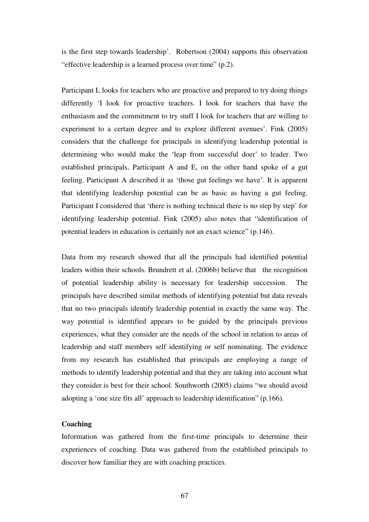is the first step towards leadership'. Robertson (2004) supports this observation "effective leadership is a learned process over time" (p.2).

Participant L looks for teachers who are proactive and prepared to try doing things differently 'I look for proactive teachers. I look for teachers that have the enthusiasm and the commitment to try stuff I look for teachers that are willing to experiment to a certain degree and to explore different avenues'. Fink (2005) considers that the challenge for principals in identifying leadership potential is determining who would make the 'leap from successful doer' to leader. Two established principals, Participant A and E, on the other hand spoke of a gut feeling. Participant A described it as 'those gut feelings we have'. It is apparent that identifying leadership potential can be as basic as having a gut feeling. Participant I considered that 'there is nothing technical there is no step by step' for identifying leadership potential. Fink (2005) also notes that "identification of potential leaders in education is certainly not an exact science" (p.146).

Data from my research showed that all the principals had identified potential leaders within their schools. Brundrett et al. (2006b) believe that the recognition of potential leadership ability is necessary for leadership succession. The principals have described similar methods of identifying potential but data reveals that no two principals identify leadership potential in exactly the same way. The way potential is identified appears to be guided by the principals previous experiences, what they consider are the needs of the school in relation to areas of leadership and staff members self identifying or self nominating. The evidence from my research has established that principals are employing a range of methods to identify leadership potential and that they are taking into account what they consider is best for their school. Southworth (2005) claims "we should avoid adopting a 'one size fits all' approach to leadership identification" (p.166).

## **Coaching**

Information was gathered from the first-time principals to determine their experiences of coaching. Data was gathered from the established principals to discover how familiar they are with coaching practices.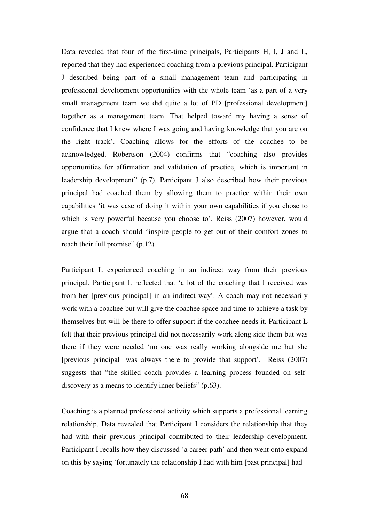Data revealed that four of the first-time principals, Participants H, I, J and L, reported that they had experienced coaching from a previous principal. Participant J described being part of a small management team and participating in professional development opportunities with the whole team 'as a part of a very small management team we did quite a lot of PD [professional development] together as a management team. That helped toward my having a sense of confidence that I knew where I was going and having knowledge that you are on the right track'. Coaching allows for the efforts of the coachee to be acknowledged. Robertson (2004) confirms that "coaching also provides opportunities for affirmation and validation of practice, which is important in leadership development" (p.7). Participant J also described how their previous principal had coached them by allowing them to practice within their own capabilities 'it was case of doing it within your own capabilities if you chose to which is very powerful because you choose to'. Reiss (2007) however, would argue that a coach should "inspire people to get out of their comfort zones to reach their full promise" (p.12).

Participant L experienced coaching in an indirect way from their previous principal. Participant L reflected that 'a lot of the coaching that I received was from her [previous principal] in an indirect way'. A coach may not necessarily work with a coachee but will give the coachee space and time to achieve a task by themselves but will be there to offer support if the coachee needs it. Participant L felt that their previous principal did not necessarily work along side them but was there if they were needed 'no one was really working alongside me but she [previous principal] was always there to provide that support'. Reiss (2007) suggests that "the skilled coach provides a learning process founded on selfdiscovery as a means to identify inner beliefs" (p.63).

Coaching is a planned professional activity which supports a professional learning relationship. Data revealed that Participant I considers the relationship that they had with their previous principal contributed to their leadership development. Participant I recalls how they discussed 'a career path' and then went onto expand on this by saying 'fortunately the relationship I had with him [past principal] had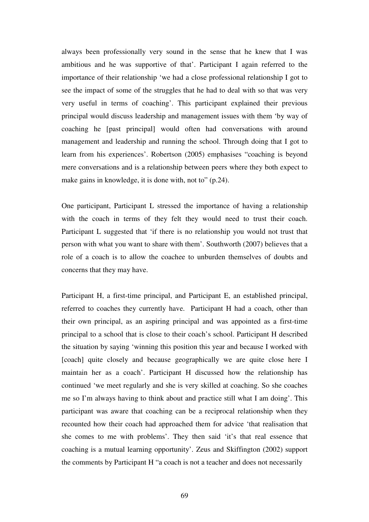always been professionally very sound in the sense that he knew that I was ambitious and he was supportive of that'. Participant I again referred to the importance of their relationship 'we had a close professional relationship I got to see the impact of some of the struggles that he had to deal with so that was very very useful in terms of coaching'. This participant explained their previous principal would discuss leadership and management issues with them 'by way of coaching he [past principal] would often had conversations with around management and leadership and running the school. Through doing that I got to learn from his experiences'. Robertson (2005) emphasises "coaching is beyond mere conversations and is a relationship between peers where they both expect to make gains in knowledge, it is done with, not to" (p.24).

One participant, Participant L stressed the importance of having a relationship with the coach in terms of they felt they would need to trust their coach. Participant L suggested that 'if there is no relationship you would not trust that person with what you want to share with them'. Southworth (2007) believes that a role of a coach is to allow the coachee to unburden themselves of doubts and concerns that they may have.

Participant H, a first-time principal, and Participant E, an established principal, referred to coaches they currently have. Participant H had a coach, other than their own principal, as an aspiring principal and was appointed as a first-time principal to a school that is close to their coach's school. Participant H described the situation by saying 'winning this position this year and because I worked with [coach] quite closely and because geographically we are quite close here I maintain her as a coach'. Participant H discussed how the relationship has continued 'we meet regularly and she is very skilled at coaching. So she coaches me so I'm always having to think about and practice still what I am doing'. This participant was aware that coaching can be a reciprocal relationship when they recounted how their coach had approached them for advice 'that realisation that she comes to me with problems'. They then said 'it's that real essence that coaching is a mutual learning opportunity'. Zeus and Skiffington (2002) support the comments by Participant H "a coach is not a teacher and does not necessarily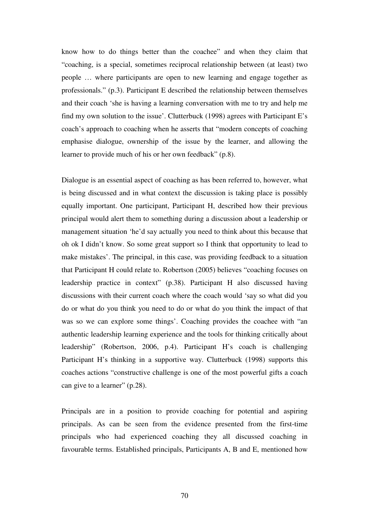know how to do things better than the coachee" and when they claim that "coaching, is a special, sometimes reciprocal relationship between (at least) two people … where participants are open to new learning and engage together as professionals." (p.3). Participant E described the relationship between themselves and their coach 'she is having a learning conversation with me to try and help me find my own solution to the issue'. Clutterbuck (1998) agrees with Participant E's coach's approach to coaching when he asserts that "modern concepts of coaching emphasise dialogue, ownership of the issue by the learner, and allowing the learner to provide much of his or her own feedback" (p.8).

Dialogue is an essential aspect of coaching as has been referred to, however, what is being discussed and in what context the discussion is taking place is possibly equally important. One participant, Participant H, described how their previous principal would alert them to something during a discussion about a leadership or management situation 'he'd say actually you need to think about this because that oh ok I didn't know. So some great support so I think that opportunity to lead to make mistakes'. The principal, in this case, was providing feedback to a situation that Participant H could relate to. Robertson (2005) believes "coaching focuses on leadership practice in context" (p.38). Participant H also discussed having discussions with their current coach where the coach would 'say so what did you do or what do you think you need to do or what do you think the impact of that was so we can explore some things'. Coaching provides the coachee with "an authentic leadership learning experience and the tools for thinking critically about leadership" (Robertson, 2006, p.4). Participant H's coach is challenging Participant H's thinking in a supportive way. Clutterbuck (1998) supports this coaches actions "constructive challenge is one of the most powerful gifts a coach can give to a learner" (p.28).

Principals are in a position to provide coaching for potential and aspiring principals. As can be seen from the evidence presented from the first-time principals who had experienced coaching they all discussed coaching in favourable terms. Established principals, Participants A, B and E, mentioned how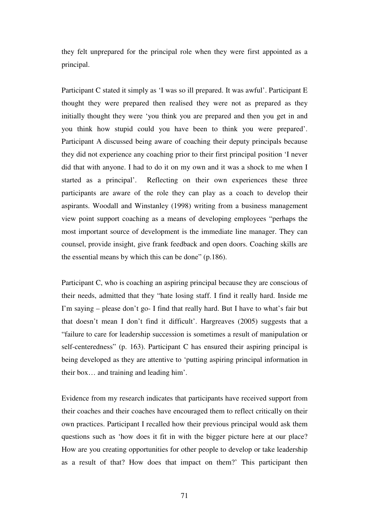they felt unprepared for the principal role when they were first appointed as a principal.

Participant C stated it simply as 'I was so ill prepared. It was awful'. Participant E thought they were prepared then realised they were not as prepared as they initially thought they were 'you think you are prepared and then you get in and you think how stupid could you have been to think you were prepared'. Participant A discussed being aware of coaching their deputy principals because they did not experience any coaching prior to their first principal position 'I never did that with anyone. I had to do it on my own and it was a shock to me when I started as a principal'. Reflecting on their own experiences these three participants are aware of the role they can play as a coach to develop their aspirants. Woodall and Winstanley (1998) writing from a business management view point support coaching as a means of developing employees "perhaps the most important source of development is the immediate line manager. They can counsel, provide insight, give frank feedback and open doors. Coaching skills are the essential means by which this can be done" (p.186).

Participant C, who is coaching an aspiring principal because they are conscious of their needs, admitted that they "hate losing staff. I find it really hard. Inside me I'm saying – please don't go- I find that really hard. But I have to what's fair but that doesn't mean I don't find it difficult'. Hargreaves (2005) suggests that a "failure to care for leadership succession is sometimes a result of manipulation or self-centeredness" (p. 163). Participant C has ensured their aspiring principal is being developed as they are attentive to 'putting aspiring principal information in their box… and training and leading him'.

Evidence from my research indicates that participants have received support from their coaches and their coaches have encouraged them to reflect critically on their own practices. Participant I recalled how their previous principal would ask them questions such as 'how does it fit in with the bigger picture here at our place? How are you creating opportunities for other people to develop or take leadership as a result of that? How does that impact on them?' This participant then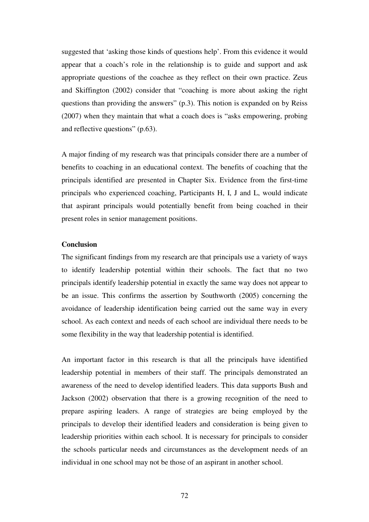suggested that 'asking those kinds of questions help'. From this evidence it would appear that a coach's role in the relationship is to guide and support and ask appropriate questions of the coachee as they reflect on their own practice. Zeus and Skiffington (2002) consider that "coaching is more about asking the right questions than providing the answers" (p.3). This notion is expanded on by Reiss (2007) when they maintain that what a coach does is "asks empowering, probing and reflective questions" (p.63).

A major finding of my research was that principals consider there are a number of benefits to coaching in an educational context. The benefits of coaching that the principals identified are presented in Chapter Six. Evidence from the first-time principals who experienced coaching, Participants H, I, J and L, would indicate that aspirant principals would potentially benefit from being coached in their present roles in senior management positions.

## **Conclusion**

The significant findings from my research are that principals use a variety of ways to identify leadership potential within their schools. The fact that no two principals identify leadership potential in exactly the same way does not appear to be an issue. This confirms the assertion by Southworth (2005) concerning the avoidance of leadership identification being carried out the same way in every school. As each context and needs of each school are individual there needs to be some flexibility in the way that leadership potential is identified.

An important factor in this research is that all the principals have identified leadership potential in members of their staff. The principals demonstrated an awareness of the need to develop identified leaders. This data supports Bush and Jackson (2002) observation that there is a growing recognition of the need to prepare aspiring leaders. A range of strategies are being employed by the principals to develop their identified leaders and consideration is being given to leadership priorities within each school. It is necessary for principals to consider the schools particular needs and circumstances as the development needs of an individual in one school may not be those of an aspirant in another school.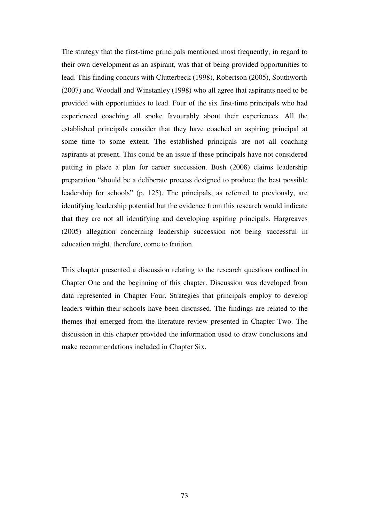The strategy that the first-time principals mentioned most frequently, in regard to their own development as an aspirant, was that of being provided opportunities to lead. This finding concurs with Clutterbeck (1998), Robertson (2005), Southworth (2007) and Woodall and Winstanley (1998) who all agree that aspirants need to be provided with opportunities to lead. Four of the six first-time principals who had experienced coaching all spoke favourably about their experiences. All the established principals consider that they have coached an aspiring principal at some time to some extent. The established principals are not all coaching aspirants at present. This could be an issue if these principals have not considered putting in place a plan for career succession. Bush (2008) claims leadership preparation "should be a deliberate process designed to produce the best possible leadership for schools" (p. 125). The principals, as referred to previously, are identifying leadership potential but the evidence from this research would indicate that they are not all identifying and developing aspiring principals. Hargreaves (2005) allegation concerning leadership succession not being successful in education might, therefore, come to fruition.

This chapter presented a discussion relating to the research questions outlined in Chapter One and the beginning of this chapter. Discussion was developed from data represented in Chapter Four. Strategies that principals employ to develop leaders within their schools have been discussed. The findings are related to the themes that emerged from the literature review presented in Chapter Two. The discussion in this chapter provided the information used to draw conclusions and make recommendations included in Chapter Six.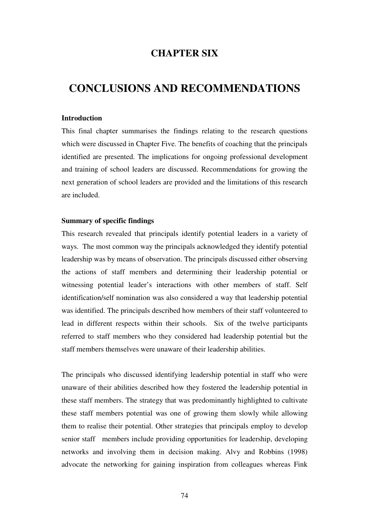## **CHAPTER SIX**

# **CONCLUSIONS AND RECOMMENDATIONS**

## **Introduction**

This final chapter summarises the findings relating to the research questions which were discussed in Chapter Five. The benefits of coaching that the principals identified are presented. The implications for ongoing professional development and training of school leaders are discussed. Recommendations for growing the next generation of school leaders are provided and the limitations of this research are included.

#### **Summary of specific findings**

This research revealed that principals identify potential leaders in a variety of ways. The most common way the principals acknowledged they identify potential leadership was by means of observation. The principals discussed either observing the actions of staff members and determining their leadership potential or witnessing potential leader's interactions with other members of staff. Self identification/self nomination was also considered a way that leadership potential was identified. The principals described how members of their staff volunteered to lead in different respects within their schools. Six of the twelve participants referred to staff members who they considered had leadership potential but the staff members themselves were unaware of their leadership abilities.

The principals who discussed identifying leadership potential in staff who were unaware of their abilities described how they fostered the leadership potential in these staff members. The strategy that was predominantly highlighted to cultivate these staff members potential was one of growing them slowly while allowing them to realise their potential. Other strategies that principals employ to develop senior staff members include providing opportunities for leadership, developing networks and involving them in decision making. Alvy and Robbins (1998) advocate the networking for gaining inspiration from colleagues whereas Fink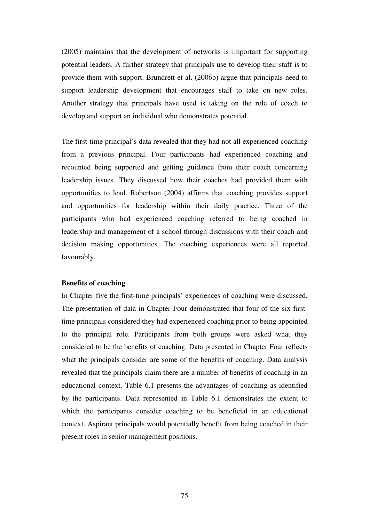(2005) maintains that the development of networks is important for supporting potential leaders. A further strategy that principals use to develop their staff is to provide them with support. Brundrett et al. (2006b) argue that principals need to support leadership development that encourages staff to take on new roles. Another strategy that principals have used is taking on the role of coach to develop and support an individual who demonstrates potential.

The first-time principal's data revealed that they had not all experienced coaching from a previous principal. Four participants had experienced coaching and recounted being supported and getting guidance from their coach concerning leadership issues. They discussed how their coaches had provided them with opportunities to lead. Robertson (2004) affirms that coaching provides support and opportunities for leadership within their daily practice. Three of the participants who had experienced coaching referred to being coached in leadership and management of a school through discussions with their coach and decision making opportunities. The coaching experiences were all reported favourably.

### **Benefits of coaching**

In Chapter five the first-time principals' experiences of coaching were discussed. The presentation of data in Chapter Four demonstrated that four of the six firsttime principals considered they had experienced coaching prior to being appointed to the principal role. Participants from both groups were asked what they considered to be the benefits of coaching. Data presented in Chapter Four reflects what the principals consider are some of the benefits of coaching. Data analysis revealed that the principals claim there are a number of benefits of coaching in an educational context. Table 6.1 presents the advantages of coaching as identified by the participants. Data represented in Table 6.1 demonstrates the extent to which the participants consider coaching to be beneficial in an educational context. Aspirant principals would potentially benefit from being coached in their present roles in senior management positions.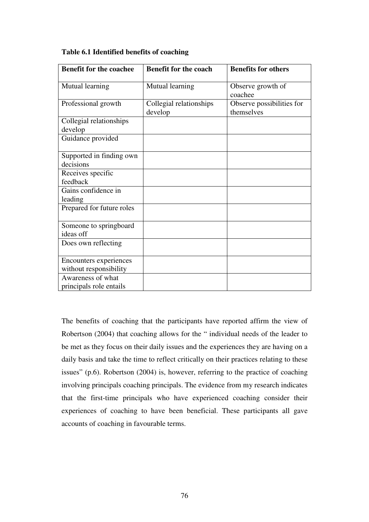| <b>Benefit for the coachee</b>                   | <b>Benefit for the coach</b>       | <b>Benefits for others</b>              |
|--------------------------------------------------|------------------------------------|-----------------------------------------|
| Mutual learning                                  | Mutual learning                    | Observe growth of<br>coachee            |
| Professional growth                              | Collegial relationships<br>develop | Observe possibilities for<br>themselves |
| Collegial relationships<br>develop               |                                    |                                         |
| Guidance provided                                |                                    |                                         |
| Supported in finding own<br>decisions            |                                    |                                         |
| Receives specific<br>feedback                    |                                    |                                         |
| Gains confidence in<br>leading                   |                                    |                                         |
| Prepared for future roles                        |                                    |                                         |
| Someone to springboard<br>ideas off              |                                    |                                         |
| Does own reflecting                              |                                    |                                         |
| Encounters experiences<br>without responsibility |                                    |                                         |
| Awareness of what<br>principals role entails     |                                    |                                         |

## **Table 6.1 Identified benefits of coaching**

The benefits of coaching that the participants have reported affirm the view of Robertson (2004) that coaching allows for the " individual needs of the leader to be met as they focus on their daily issues and the experiences they are having on a daily basis and take the time to reflect critically on their practices relating to these issues" (p.6). Robertson (2004) is, however, referring to the practice of coaching involving principals coaching principals. The evidence from my research indicates that the first-time principals who have experienced coaching consider their experiences of coaching to have been beneficial. These participants all gave accounts of coaching in favourable terms.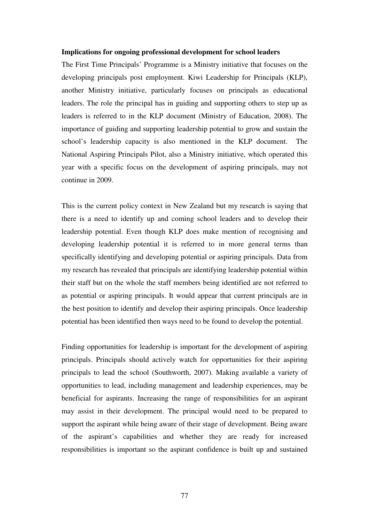#### **Implications for ongoing professional development for school leaders**

The First Time Principals' Programme is a Ministry initiative that focuses on the developing principals post employment. Kiwi Leadership for Principals (KLP), another Ministry initiative, particularly focuses on principals as educational leaders. The role the principal has in guiding and supporting others to step up as leaders is referred to in the KLP document (Ministry of Education, 2008). The importance of guiding and supporting leadership potential to grow and sustain the school's leadership capacity is also mentioned in the KLP document. The National Aspiring Principals Pilot, also a Ministry initiative, which operated this year with a specific focus on the development of aspiring principals, may not continue in 2009.

This is the current policy context in New Zealand but my research is saying that there is a need to identify up and coming school leaders and to develop their leadership potential. Even though KLP does make mention of recognising and developing leadership potential it is referred to in more general terms than specifically identifying and developing potential or aspiring principals. Data from my research has revealed that principals are identifying leadership potential within their staff but on the whole the staff members being identified are not referred to as potential or aspiring principals. It would appear that current principals are in the best position to identify and develop their aspiring principals. Once leadership potential has been identified then ways need to be found to develop the potential.

Finding opportunities for leadership is important for the development of aspiring principals. Principals should actively watch for opportunities for their aspiring principals to lead the school (Southworth, 2007). Making available a variety of opportunities to lead, including management and leadership experiences, may be beneficial for aspirants. Increasing the range of responsibilities for an aspirant may assist in their development. The principal would need to be prepared to support the aspirant while being aware of their stage of development. Being aware of the aspirant's capabilities and whether they are ready for increased responsibilities is important so the aspirant confidence is built up and sustained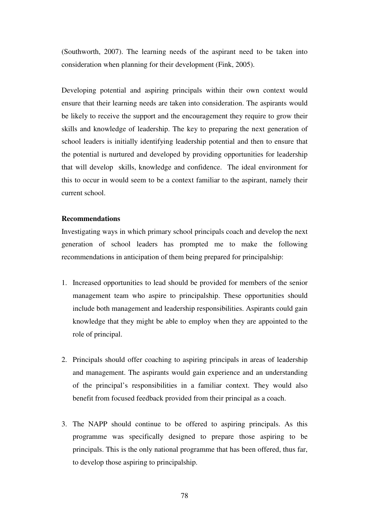(Southworth, 2007). The learning needs of the aspirant need to be taken into consideration when planning for their development (Fink, 2005).

Developing potential and aspiring principals within their own context would ensure that their learning needs are taken into consideration. The aspirants would be likely to receive the support and the encouragement they require to grow their skills and knowledge of leadership. The key to preparing the next generation of school leaders is initially identifying leadership potential and then to ensure that the potential is nurtured and developed by providing opportunities for leadership that will develop skills, knowledge and confidence. The ideal environment for this to occur in would seem to be a context familiar to the aspirant, namely their current school.

### **Recommendations**

Investigating ways in which primary school principals coach and develop the next generation of school leaders has prompted me to make the following recommendations in anticipation of them being prepared for principalship:

- 1. Increased opportunities to lead should be provided for members of the senior management team who aspire to principalship. These opportunities should include both management and leadership responsibilities. Aspirants could gain knowledge that they might be able to employ when they are appointed to the role of principal.
- 2. Principals should offer coaching to aspiring principals in areas of leadership and management. The aspirants would gain experience and an understanding of the principal's responsibilities in a familiar context. They would also benefit from focused feedback provided from their principal as a coach.
- 3. The NAPP should continue to be offered to aspiring principals. As this programme was specifically designed to prepare those aspiring to be principals. This is the only national programme that has been offered, thus far, to develop those aspiring to principalship.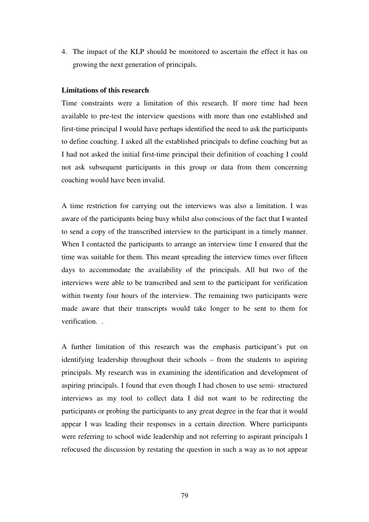4. The impact of the KLP should be monitored to ascertain the effect it has on growing the next generation of principals.

### **Limitations of this research**

Time constraints were a limitation of this research. If more time had been available to pre-test the interview questions with more than one established and first-time principal I would have perhaps identified the need to ask the participants to define coaching. I asked all the established principals to define coaching but as I had not asked the initial first-time principal their definition of coaching I could not ask subsequent participants in this group or data from them concerning coaching would have been invalid.

A time restriction for carrying out the interviews was also a limitation. I was aware of the participants being busy whilst also conscious of the fact that I wanted to send a copy of the transcribed interview to the participant in a timely manner. When I contacted the participants to arrange an interview time I ensured that the time was suitable for them. This meant spreading the interview times over fifteen days to accommodate the availability of the principals. All but two of the interviews were able to be transcribed and sent to the participant for verification within twenty four hours of the interview. The remaining two participants were made aware that their transcripts would take longer to be sent to them for verification

A further limitation of this research was the emphasis participant's put on identifying leadership throughout their schools – from the students to aspiring principals. My research was in examining the identification and development of aspiring principals. I found that even though I had chosen to use semi- structured interviews as my tool to collect data I did not want to be redirecting the participants or probing the participants to any great degree in the fear that it would appear I was leading their responses in a certain direction. Where participants were referring to school wide leadership and not referring to aspirant principals I refocused the discussion by restating the question in such a way as to not appear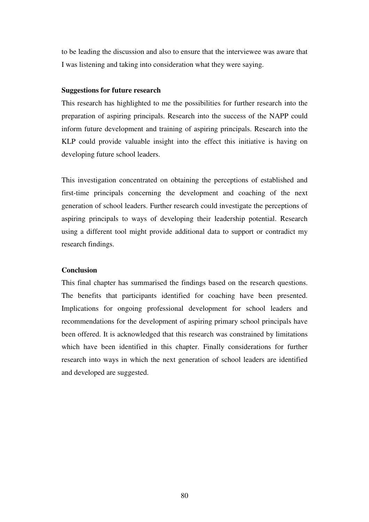to be leading the discussion and also to ensure that the interviewee was aware that I was listening and taking into consideration what they were saying.

#### **Suggestions for future research**

This research has highlighted to me the possibilities for further research into the preparation of aspiring principals. Research into the success of the NAPP could inform future development and training of aspiring principals. Research into the KLP could provide valuable insight into the effect this initiative is having on developing future school leaders.

This investigation concentrated on obtaining the perceptions of established and first-time principals concerning the development and coaching of the next generation of school leaders. Further research could investigate the perceptions of aspiring principals to ways of developing their leadership potential. Research using a different tool might provide additional data to support or contradict my research findings.

#### **Conclusion**

This final chapter has summarised the findings based on the research questions. The benefits that participants identified for coaching have been presented. Implications for ongoing professional development for school leaders and recommendations for the development of aspiring primary school principals have been offered. It is acknowledged that this research was constrained by limitations which have been identified in this chapter. Finally considerations for further research into ways in which the next generation of school leaders are identified and developed are suggested.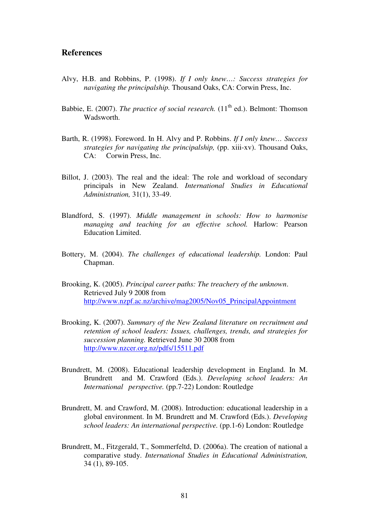## **References**

- Alvy, H.B. and Robbins, P. (1998). *If I only knew…: Success strategies for navigating the principalship.* Thousand Oaks, CA: Corwin Press, Inc.
- Babbie, E. (2007). *The practice of social research*. (11<sup>th</sup> ed.). Belmont: Thomson Wadsworth.
- Barth, R. (1998). Foreword. In H. Alvy and P. Robbins. *If I only knew… Success strategies for navigating the principalship,* (pp. xiii-xv). Thousand Oaks, CA: Corwin Press, Inc.
- Billot, J. (2003). The real and the ideal: The role and workload of secondary principals in New Zealand. *International Studies in Educational Administration,* 31(1), 33-49.
- Blandford, S. (1997). *Middle management in schools: How to harmonise managing and teaching for an effective school.* Harlow: Pearson Education Limited.
- Bottery, M. (2004). *The challenges of educational leadership.* London: Paul Chapman.
- Brooking, K. (2005). *Principal career paths: The treachery of the unknown*. Retrieved July 9 2008 from http://www.nzpf.ac.nz/archive/mag2005/Nov05\_PrincipalAppointment
- Brooking, K. (2007). *Summary of the New Zealand literature on recruitment and retention of school leaders: Issues, challenges, trends, and strategies for succession planning.* Retrieved June 30 2008 from http://www.nzcer.org.nz/pdfs/15511.pdf
- Brundrett, M. (2008). Educational leadership development in England. In M. Brundrett and M. Crawford (Eds.). *Developing school leaders: An International perspective.* (pp.7-22) London: Routledge
- Brundrett, M. and Crawford, M. (2008). Introduction: educational leadership in a global environment. In M. Brundrett and M. Crawford (Eds.). *Developing school leaders: An international perspective.* (pp.1-6) London: Routledge
- Brundrett, M., Fitzgerald, T., Sommerfeltd, D. (2006a). The creation of national a comparative study. *International Studies in Educational Administration,* 34 (1), 89-105.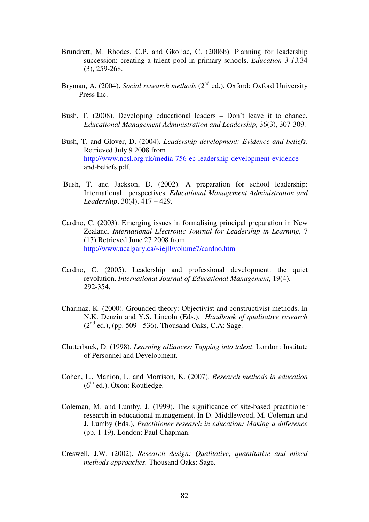- Brundrett, M. Rhodes, C.P. and Gkoliac, C. (2006b). Planning for leadership succession: creating a talent pool in primary schools. *Education 3-13.*34 (3), 259-268.
- Bryman, A. (2004). *Social research methods* (2<sup>nd</sup> ed.). Oxford: Oxford University Press Inc.
- Bush, T. (2008). Developing educational leaders Don't leave it to chance.  *Educational Management Administration and Leadership*, 36(3), 307-309.
- Bush, T. and Glover, D. (2004). *Leadership development: Evidence and beliefs.*  Retrieved July 9 2008 from http://www.ncsl.org.uk/media-756-ec-leadership-development-evidence and-beliefs.pdf.
- Bush, T. and Jackson, D. (2002). A preparation for school leadership: International perspectives. *Educational Management Administration and Leadership*, 30(4), 417 – 429.
- Cardno, C. (2003). Emerging issues in formalising principal preparation in New Zealand. *International Electronic Journal for Leadership in Learning,* 7 (17).Retrieved June 27 2008 from http://www.ucalgary.ca/~iejll/volume7/cardno.htm
- Cardno, C. (2005). Leadership and professional development: the quiet revolution. *International Journal of Educational Management,* 19(4), 292-354.
- Charmaz, K. (2000). Grounded theory: Objectivist and constructivist methods. In N.K. Denzin and Y.S. Lincoln (Eds.). *Handbook of qualitative research*   $(2<sup>nd</sup>$  ed.), (pp. 509 - 536). Thousand Oaks, C.A: Sage.
- Clutterbuck, D. (1998). *Learning alliances: Tapping into talent*. London: Institute of Personnel and Development.
- Cohen, L., Manion, L. and Morrison, K. (2007). *Research methods in education*   $(6^{th}$  ed.). Oxon: Routledge.
- Coleman, M. and Lumby, J. (1999). The significance of site-based practitioner research in educational management. In D. Middlewood, M. Coleman and J. Lumby (Eds.), *Practitioner research in education: Making a difference*  (pp. 1-19). London: Paul Chapman.
- Creswell, J.W. (2002). *Research design: Qualitative, quantitative and mixed methods approaches.* Thousand Oaks: Sage.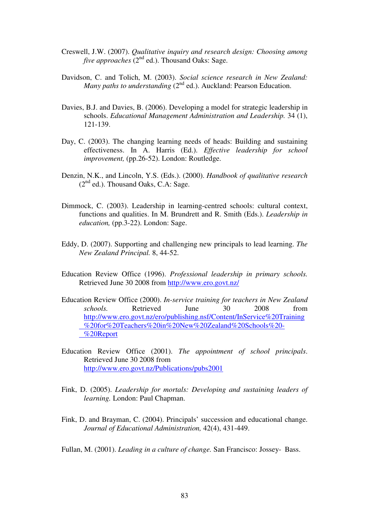- Creswell, J.W. (2007). *Qualitative inquiry and research design: Choosing among five approaches* (2<sup>nd</sup> ed.). Thousand Oaks: Sage.
- Davidson, C. and Tolich, M. (2003). *Social science research in New Zealand: Many paths to understanding* (2<sup>nd</sup> ed.). Auckland: Pearson Education.
- Davies, B.J. and Davies, B. (2006). Developing a model for strategic leadership in schools. *Educational Management Administration and Leadership.* 34 (1), 121-139.
- Day, C. (2003). The changing learning needs of heads: Building and sustaining effectiveness. In A. Harris (Ed.). *Effective leadership for school improvement,* (pp.26-52). London: Routledge.
- Denzin, N.K., and Lincoln, Y.S. (Eds.). (2000). *Handbook of qualitative research*   $(2<sup>nd</sup>$  ed.). Thousand Oaks, C.A: Sage.
- Dimmock, C. (2003). Leadership in learning-centred schools: cultural context, functions and qualities. In M. Brundrett and R. Smith (Eds.). *Leadership in education,* (pp.3-22). London: Sage.
- Eddy, D. (2007). Supporting and challenging new principals to lead learning. *The New Zealand Principal.* 8, 44-52.
- Education Review Office (1996). *Professional leadership in primary schools.*  Retrieved June 30 2008 from http://www.ero.govt.nz/
- Education Review Office (2000). *In-service training for teachers in New Zealand schools.* Retrieved June 30 2008 from http://www.ero.govt.nz/ero/publishing.nsf/Content/InService%20Training %20for%20Teachers%20in%20New%20Zealand%20Schools%20- %20Report
- Education Review Office (2001). *The appointment of school principals*. Retrieved June 30 2008 from http://www.ero.govt.nz/Publications/pubs2001
- Fink, D. (2005). *Leadership for mortals: Developing and sustaining leaders of learning.* London: Paul Chapman.
- Fink, D. and Brayman, C. (2004). Principals' succession and educational change. *Journal of Educational Administration,* 42(4), 431-449.

Fullan, M. (2001). *Leading in a culture of change.* San Francisco: Jossey- Bass.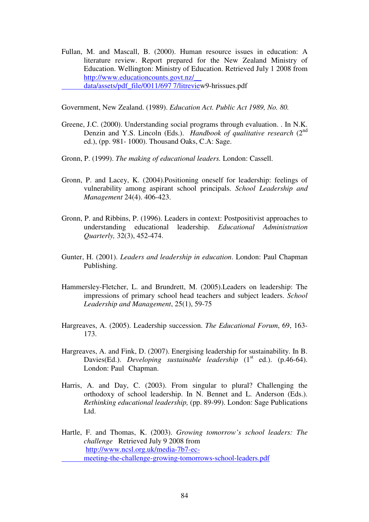Fullan, M. and Mascall, B. (2000). Human resource issues in education: A literature review. Report prepared for the New Zealand Ministry of Education. Wellington: Ministry of Education. Retrieved July 1 2008 from http://www.educationcounts.govt.nz/\_\_ data/assets/pdf\_file/0011/697 7/litreview9-hrissues.pdf

Government, New Zealand. (1989). *Education Act. Public Act 1989, No. 80.* 

- Greene, J.C. (2000). Understanding social programs through evaluation. . In N.K. Denzin and Y.S. Lincoln (Eds.). *Handbook of qualitative research* (2<sup>nd</sup>) ed.), (pp. 981- 1000). Thousand Oaks, C.A: Sage.
- Gronn, P. (1999). *The making of educational leaders.* London: Cassell.
- Gronn, P. and Lacey, K. (2004).Positioning oneself for leadership: feelings of vulnerability among aspirant school principals. *School Leadership and Management* 24(4). 406-423.
- Gronn, P. and Ribbins, P. (1996). Leaders in context: Postpositivist approaches to understanding educational leadership. *Educational Administration Quarterly,* 32(3), 452-474.
- Gunter, H. (2001). *Leaders and leadership in education*. London: Paul Chapman Publishing.
- Hammersley-Fletcher, L. and Brundrett, M. (2005).Leaders on leadership: The impressions of primary school head teachers and subject leaders. *School Leadership and Management*, 25(1), 59-75
- Hargreaves, A. (2005). Leadership succession. *The Educational Forum*, 69, 163- 173.
- Hargreaves, A. and Fink, D. (2007). Energising leadership for sustainability. In B. Davies(Ed.). *Developing sustainable leadership* (1<sup>st</sup> ed.). (p.46-64). London: Paul Chapman.
- Harris, A. and Day, C. (2003). From singular to plural? Challenging the orthodoxy of school leadership. In N. Bennet and L. Anderson (Eds.). *Rethinking educational leadership,* (pp. 89-99). London: Sage Publications Ltd.
- Hartle, F. and Thomas, K. (2003). *Growing tomorrow's school leaders: The challenge* Retrieved July 9 2008 from http://www.ncsl.org.uk/media-7b7-ec meeting-the-challenge-growing-tomorrows-school-leaders.pdf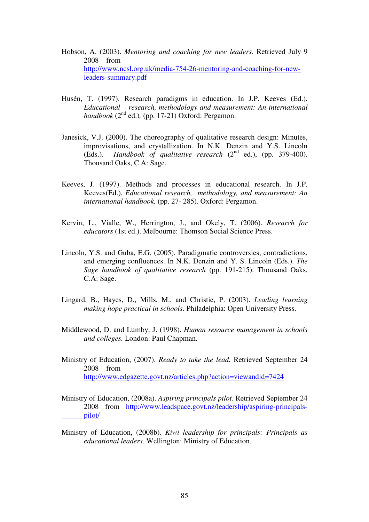- Hobson, A. (2003). *Mentoring and coaching for new leaders.* Retrieved July 9 2008 from http://www.ncsl.org.uk/media-754-26-mentoring-and-coaching-for-new leaders-summary.pdf
- Husén, T. (1997). Research paradigms in education. In J.P. Keeves (Ed.). *Educational research, methodology and measurement: An international handbook* (2<sup>nd</sup> ed.), (pp. 17-21) Oxford: Pergamon.
- Janesick, V.J. (2000). The choreography of qualitative research design: Minutes, improvisations, and crystallization. In N.K. Denzin and Y.S. Lincoln (Eds.). *Handbook of qualitative research*  $(2^{nd}$  ed.), (pp. 379-400). Thousand Oaks, C.A: Sage.
- Keeves, J. (1997). Methods and processes in educational research. In J.P. Keeves(Ed.), *Educational research, methodology, and measurement: An international handbook.* (pp. 27- 285). Oxford: Pergamon.
- Kervin, L., Vialle, W., Herrington, J., and Okely, T. (2006). *Research for educators* (1st ed.). Melbourne: Thomson Social Science Press.
- Lincoln, Y.S. and Guba, E.G. (2005). Paradigmatic controversies, contradictions, and emerging confluences. In N.K. Denzin and Y. S. Lincoln (Eds.). *The Sage handbook of qualitative research* (pp. 191-215). Thousand Oaks, C.A: Sage.
- Lingard, B., Hayes, D., Mills, M., and Christie, P. (2003). *Leading learning making hope practical in schools*. Philadelphia: Open University Press.
- Middlewood, D. and Lumby, J. (1998). *Human resource management in schools and colleges.* London: Paul Chapman.
- Ministry of Education, (2007). *Ready to take the lead.* Retrieved September 24 2008 from http://www.edgazette.govt.nz/articles.php?action=viewandid=7424
- Ministry of Education, (2008a). *Aspiring principals pilot.* Retrieved September 24 2008 from http://www.leadspace.govt.nz/leadership/aspiring-principals pilot/
- Ministry of Education, (2008b). *Kiwi leadership for principals: Principals as educational leaders.* Wellington: Ministry of Education.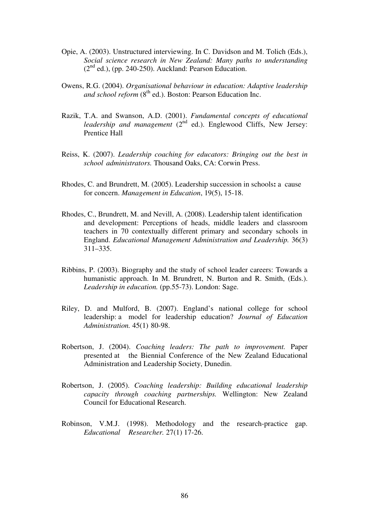- Opie, A. (2003). Unstructured interviewing. In C. Davidson and M. Tolich (Eds.), *Social science research in New Zealand: Many paths to understanding*   $(2<sup>nd</sup>$  ed.), (pp. 240-250). Auckland: Pearson Education.
- Owens, R.G. (2004). *Organisational behaviour in education: Adaptive leadership*  and school reform (8<sup>th</sup> ed.). Boston: Pearson Education Inc.
- Razik, T.A. and Swanson, A.D. (2001). *Fundamental concepts of educational leadership and management* (2<sup>nd</sup> ed.). Englewood Cliffs, New Jersey: Prentice Hall
- Reiss, K. (2007). *Leadership coaching for educators: Bringing out the best in school administrators.* Thousand Oaks, CA: Corwin Press.
- Rhodes, C. and Brundrett, M. (2005). Leadership succession in schools**:** a cause for concern. *Management in Education*, 19(5), 15-18.
- Rhodes, C., Brundrett, M. and Nevill, A. (2008). Leadership talent identification and development: Perceptions of heads, middle leaders and classroom teachers in 70 contextually different primary and secondary schools in England. *Educational Management Administration and Leadership.* 36(3) 311–335.
- Ribbins, P. (2003). Biography and the study of school leader careers: Towards a humanistic approach. In M. Brundrett, N. Burton and R. Smith, (Eds.). *Leadership in education.* (pp.55-73). London: Sage.
- Riley, D. and Mulford, B. (2007). England's national college for school leadership: a model for leadership education? *Journal of Education Administration.* 45(1) 80-98.
- Robertson, J. (2004). *Coaching leaders: The path to improvement.* Paper presented at the Biennial Conference of the New Zealand Educational Administration and Leadership Society, Dunedin.
- Robertson, J. (2005). *Coaching leadership: Building educational leadership capacity through coaching partnerships.* Wellington: New Zealand Council for Educational Research.
- Robinson, V.M.J. (1998). Methodology and the research-practice gap. *Educational Researcher.* 27(1) 17-26.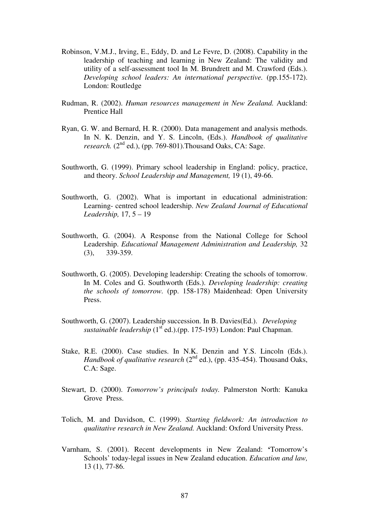- Robinson, V.M.J., Irving, E., Eddy, D. and Le Fevre, D. (2008). Capability in the leadership of teaching and learning in New Zealand: The validity and utility of a self-assessment tool In M. Brundrett and M. Crawford (Eds.). *Developing school leaders: An international perspective.* (pp.155-172). London: Routledge
- Rudman, R. (2002). *Human resources management in New Zealand.* Auckland: Prentice Hall
- Ryan, G. W. and Bernard, H. R. (2000). Data management and analysis methods. In N. K. Denzin, and Y. S. Lincoln, (Eds.). *Handbook of qualitative research.*  $(2^{nd}$  ed.), (pp. 769-801). Thousand Oaks, CA: Sage.
- Southworth, G. (1999). Primary school leadership in England: policy, practice, and theory. *School Leadership and Management,* 19 (1), 49-66.
- Southworth, G. (2002). What is important in educational administration: Learning- centred school leadership. *New Zealand Journal of Educational Leadership,* 17, 5 – 19
- Southworth, G. (2004). A Response from the National College for School Leadership. *Educational Management Administration and Leadership,* 32 (3), 339-359.
- Southworth, G. (2005). Developing leadership: Creating the schools of tomorrow. In M. Coles and G. Southworth (Eds.). *Developing leadership: creating the schools of tomorrow.* (pp. 158-178) Maidenhead: Open University Press.
- Southworth, G. (2007). Leadership succession. In B. Davies(Ed.). *Developing sustainable leadership* (1<sup>st</sup> ed.).(pp. 175-193) London: Paul Chapman.
- Stake, R.E. (2000). Case studies. In N.K. Denzin and Y.S. Lincoln (Eds.). *Handbook of qualitative research*  $(2^{nd}$  ed.), (pp. 435-454). Thousand Oaks, C.A: Sage.
- Stewart, D. (2000). *Tomorrow's principals today.* Palmerston North: Kanuka Grove Press.
- Tolich, M. and Davidson, C. (1999). *Starting fieldwork: An introduction to qualitative research in New Zealand.* Auckland: Oxford University Press.
- Varnham, S. (2001). Recent developments in New Zealand: **'**Tomorrow's Schools' today-legal issues in New Zealand education. *Education and law,* 13 (1), 77-86.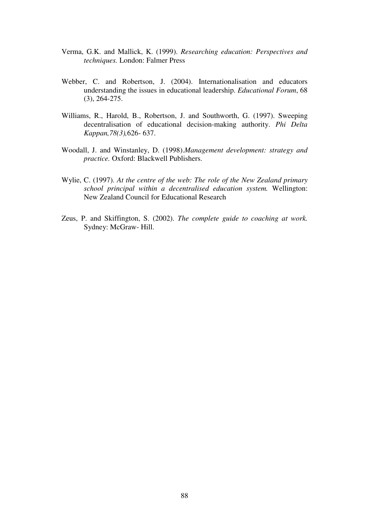- Verma, G.K. and Mallick, K. (1999). *Researching education: Perspectives and techniques.* London: Falmer Press
- Webber, C. and Robertson, J. (2004). Internationalisation and educators understanding the issues in educational leadership. *Educational Forum*, 68 (3), 264-275.
- Williams, R., Harold, B., Robertson, J. and Southworth, G. (1997). Sweeping decentralisation of educational decision-making authority. *Phi Delta Kappan,78(3),*626- 637.
- Woodall, J. and Winstanley, D. (1998).*Management development: strategy and practice.* Oxford: Blackwell Publishers.
- Wylie, C. (1997). *At the centre of the web: The role of the New Zealand primary school principal within a decentralised education system.* Wellington: New Zealand Council for Educational Research
- Zeus, P. and Skiffington, S. (2002). *The complete guide to coaching at work.* Sydney: McGraw- Hill.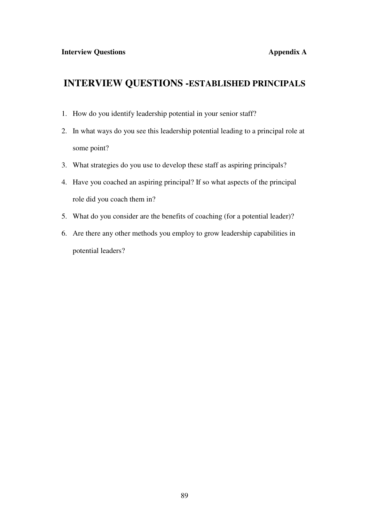## **INTERVIEW QUESTIONS -ESTABLISHED PRINCIPALS**

- 1. How do you identify leadership potential in your senior staff?
- 2. In what ways do you see this leadership potential leading to a principal role at some point?
- 3. What strategies do you use to develop these staff as aspiring principals?
- 4. Have you coached an aspiring principal? If so what aspects of the principal role did you coach them in?
- 5. What do you consider are the benefits of coaching (for a potential leader)?
- 6. Are there any other methods you employ to grow leadership capabilities in potential leaders?